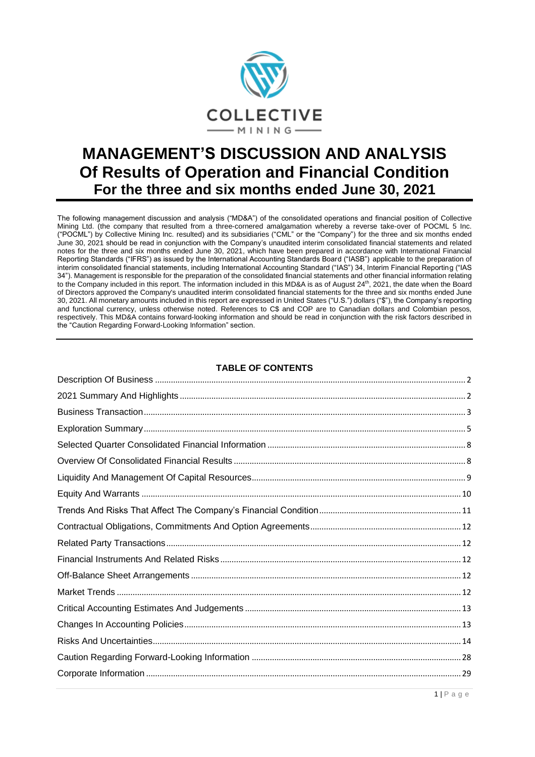

# **MANAGEMENT'S DISCUSSION AND ANALYSIS Of Results of Operation and Financial Condition For the three and six months ended June 30, 2021**

The following management discussion and analysis ("MD&A") of the consolidated operations and financial position of Collective Mining Ltd. (the company that resulted from a three-cornered amalgamation whereby a reverse take-over of POCML 5 Inc. ("POCML") by Collective Mining Inc. resulted) and its subsidiaries ("CML" or the "Company") for the three and six months ended June 30, 2021 should be read in conjunction with the Company's unaudited interim consolidated financial statements and related notes for the three and six months ended June 30, 2021, which have been prepared in accordance with International Financial Reporting Standards ("IFRS") as issued by the International Accounting Standards Board ("IASB") applicable to the preparation of interim consolidated financial statements, including International Accounting Standard ("IAS") 34, Interim Financial Reporting ("IAS 34"). Management is responsible for the preparation of the consolidated financial statements and other financial information relating to the Company included in this report. The information included in this MD&A is as of August 24<sup>th</sup>, 2021, the date when the Board of Directors approved the Company's unaudited interim consolidated financial statements for the three and six months ended June 30, 2021. All monetary amounts included in this report are expressed in United States ("U.S.") dollars ("\$"), the Company's reporting and functional currency, unless otherwise noted. References to C\$ and COP are to Canadian dollars and Colombian pesos, respectively. This MD&A contains forward-looking information and should be read in conjunction with the risk factors described in the "Caution Regarding Forward-Looking Information" section.

# **TABLE OF CONTENTS**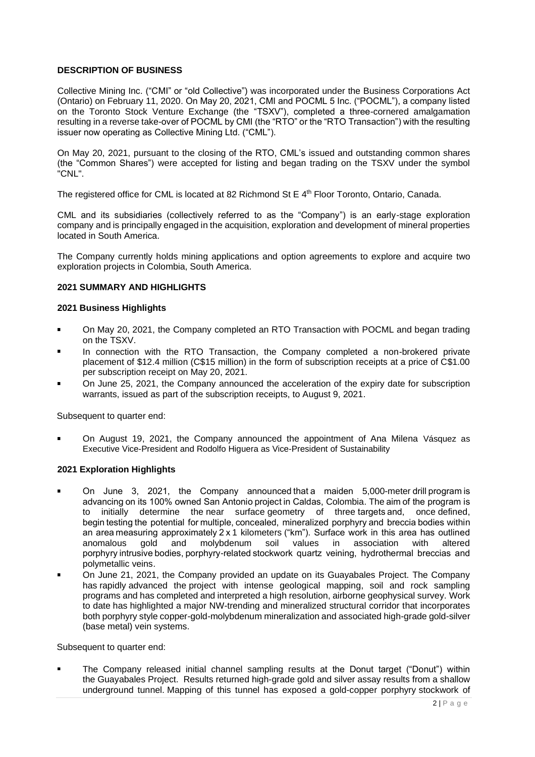# <span id="page-1-0"></span>**DESCRIPTION OF BUSINESS**

Collective Mining Inc. ("CMI" or "old Collective") was incorporated under the Business Corporations Act (Ontario) on February 11, 2020. On May 20, 2021, CMI and POCML 5 Inc. ("POCML"), a company listed on the Toronto Stock Venture Exchange (the "TSXV"), completed a three-cornered amalgamation resulting in a reverse take-over of POCML by CMI (the "RTO" or the "RTO Transaction") with the resulting issuer now operating as Collective Mining Ltd. ("CML").

On May 20, 2021, pursuant to the closing of the RTO, CML's issued and outstanding common shares (the "Common Shares") were accepted for listing and began trading on the TSXV under the symbol "CNL".

The registered office for CML is located at 82 Richmond St E 4<sup>th</sup> Floor Toronto, Ontario, Canada.

CML and its subsidiaries (collectively referred to as the "Company") is an early-stage exploration company and is principally engaged in the acquisition, exploration and development of mineral properties located in South America.

The Company currently holds mining applications and option agreements to explore and acquire two exploration projects in Colombia, South America.

#### <span id="page-1-1"></span>**2021 SUMMARY AND HIGHLIGHTS**

#### **2021 Business Highlights**

- On May 20, 2021, the Company completed an RTO Transaction with POCML and began trading on the TSXV.
- In connection with the RTO Transaction, the Company completed a non-brokered private placement of \$12.4 million (C\$15 million) in the form of subscription receipts at a price of C\$1.00 per subscription receipt on May 20, 2021.
- On June 25, 2021, the Company announced the acceleration of the expiry date for subscription warrants, issued as part of the subscription receipts, to August 9, 2021.

Subsequent to quarter end:

On August 19, 2021, the Company announced the appointment of Ana Milena Vásquez as Executive Vice-President and Rodolfo Higuera as Vice-President of Sustainability

#### **2021 Exploration Highlights**

- On June 3, 2021, the Company announced that a maiden 5,000-meter drill program is advancing on its 100% owned San Antonio project in Caldas, Colombia. Theaim of the program is to initially determine the near surface geometry of three targets and, once defined, begin testing the potential for multiple, concealed, mineralized porphyry and breccia bodies within an area measuring approximately 2 x 1 kilometers ("km"). Surface work in this area has outlined anomalous gold and molybdenum soil values in association with altered porphyry intrusive bodies, porphyry-related stockwork quartz veining, hydrothermal breccias and polymetallic veins.
- On June 21, 2021, the Company provided an update on its Guayabales Project. The Company has rapidly advanced the project with intense geological mapping, soil and rock sampling programs and has completed and interpreted a high resolution, airborne geophysical survey. Work to date has highlighted a major NW-trending and mineralized structural corridor that incorporates both porphyry style copper-gold-molybdenum mineralization and associated high-grade gold-silver (base metal) vein systems.

Subsequent to quarter end:

The Company released initial channel sampling results at the Donut target ("Donut") within the Guayabales Project. Results returned high-grade gold and silver assay results from a shallow underground tunnel. Mapping of this tunnel has exposed a gold-copper porphyry stockwork of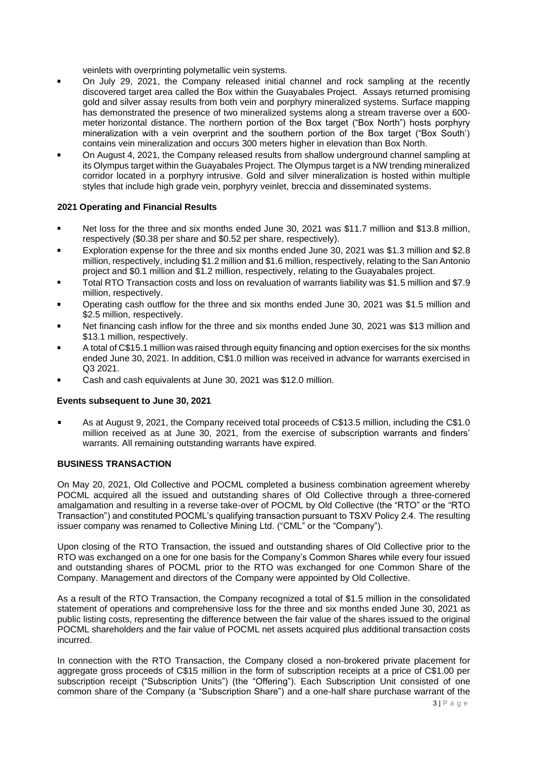veinlets with overprinting polymetallic vein systems.

- On July 29, 2021, the Company released initial channel and rock sampling at the recently discovered target area called the Box within the Guayabales Project. Assays returned promising gold and silver assay results from both vein and porphyry mineralized systems. Surface mapping has demonstrated the presence of two mineralized systems along a stream traverse over a 600 meter horizontal distance. The northern portion of the Box target ("Box North") hosts porphyry mineralization with a vein overprint and the southern portion of the Box target ("Box South') contains vein mineralization and occurs 300 meters higher in elevation than Box North.
- On August 4, 2021, the Company released results from shallow underground channel sampling at its Olympus target within the Guayabales Project. The Olympus target is a NW trending mineralized corridor located in a porphyry intrusive. Gold and silver mineralization is hosted within multiple styles that include high grade vein, porphyry veinlet, breccia and disseminated systems.

# **2021 Operating and Financial Results**

- Net loss for the three and six months ended June 30, 2021 was \$11.7 million and \$13.8 million,  $\blacksquare$ respectively (\$0.38 per share and \$0.52 per share, respectively).
- Exploration expense for the three and six months ended June 30, 2021 was \$1.3 million and \$2.8 million, respectively, including \$1.2 million and \$1.6 million, respectively, relating to the San Antonio project and \$0.1 million and \$1.2 million, respectively, relating to the Guayabales project.
- Total RTO Transaction costs and loss on revaluation of warrants liability was \$1.5 million and \$7.9 million, respectively.
- Operating cash outflow for the three and six months ended June 30, 2021 was \$1.5 million and \$2.5 million, respectively.
- Net financing cash inflow for the three and six months ended June 30, 2021 was \$13 million and \$13.1 million, respectively.
- A total of C\$15.1 million was raised through equity financing and option exercises for the six months ended June 30, 2021. In addition, C\$1.0 million was received in advance for warrants exercised in Q3 2021.
- Cash and cash equivalents at June 30, 2021 was \$12.0 million.

#### **Events subsequent to June 30, 2021**

As at August 9, 2021, the Company received total proceeds of C\$13.5 million, including the C\$1.0 million received as at June 30, 2021, from the exercise of subscription warrants and finders' warrants. All remaining outstanding warrants have expired.

#### <span id="page-2-0"></span>**BUSINESS TRANSACTION**

On May 20, 2021, Old Collective and POCML completed a business combination agreement whereby POCML acquired all the issued and outstanding shares of Old Collective through a three-cornered amalgamation and resulting in a reverse take-over of POCML by Old Collective (the "RTO" or the "RTO Transaction") and constituted POCML's qualifying transaction pursuant to TSXV Policy 2.4. The resulting issuer company was renamed to Collective Mining Ltd. ("CML" or the "Company").

Upon closing of the RTO Transaction, the issued and outstanding shares of Old Collective prior to the RTO was exchanged on a one for one basis for the Company's Common Shares while every four issued and outstanding shares of POCML prior to the RTO was exchanged for one Common Share of the Company. Management and directors of the Company were appointed by Old Collective.

As a result of the RTO Transaction, the Company recognized a total of \$1.5 million in the consolidated statement of operations and comprehensive loss for the three and six months ended June 30, 2021 as public listing costs, representing the difference between the fair value of the shares issued to the original POCML shareholders and the fair value of POCML net assets acquired plus additional transaction costs incurred.

In connection with the RTO Transaction, the Company closed a non-brokered private placement for aggregate gross proceeds of C\$15 million in the form of subscription receipts at a price of C\$1.00 per subscription receipt ("Subscription Units") (the "Offering"). Each Subscription Unit consisted of one common share of the Company (a "Subscription Share") and a one-half share purchase warrant of the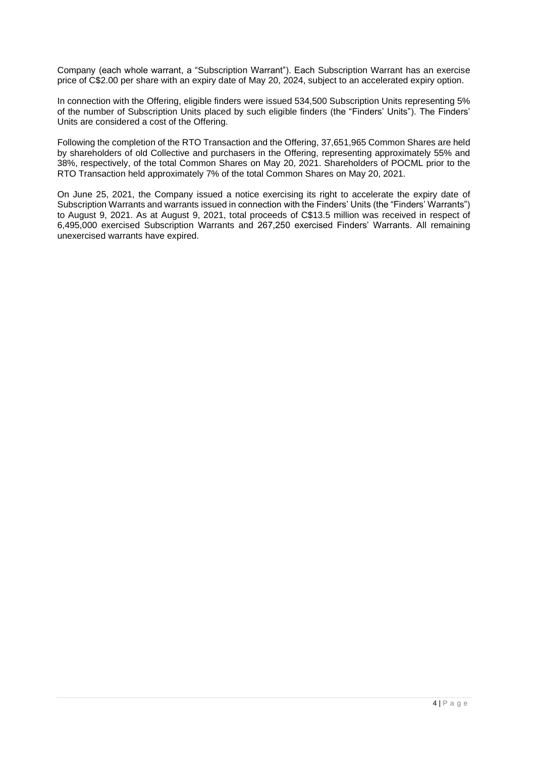Company (each whole warrant, a "Subscription Warrant"). Each Subscription Warrant has an exercise price of C\$2.00 per share with an expiry date of May 20, 2024, subject to an accelerated expiry option.

In connection with the Offering, eligible finders were issued 534,500 Subscription Units representing 5% of the number of Subscription Units placed by such eligible finders (the "Finders' Units"). The Finders' Units are considered a cost of the Offering.

Following the completion of the RTO Transaction and the Offering, 37,651,965 Common Shares are held by shareholders of old Collective and purchasers in the Offering, representing approximately 55% and 38%, respectively, of the total Common Shares on May 20, 2021. Shareholders of POCML prior to the RTO Transaction held approximately 7% of the total Common Shares on May 20, 2021.

On June 25, 2021, the Company issued a notice exercising its right to accelerate the expiry date of Subscription Warrants and warrants issued in connection with the Finders' Units (the "Finders' Warrants") to August 9, 2021. As at August 9, 2021, total proceeds of C\$13.5 million was received in respect of 6,495,000 exercised Subscription Warrants and 267,250 exercised Finders' Warrants. All remaining unexercised warrants have expired.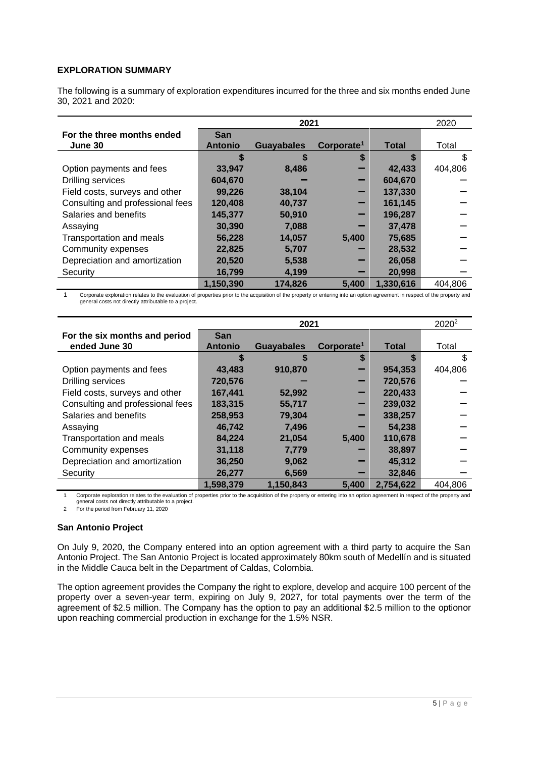# <span id="page-4-0"></span>**EXPLORATION SUMMARY**

The following is a summary of exploration expenditures incurred for the three and six months ended June 30, 2021 and 2020:

|                                  |                | 2021              |                        |              |         |
|----------------------------------|----------------|-------------------|------------------------|--------------|---------|
| For the three months ended       | <b>San</b>     |                   |                        |              |         |
| June 30                          | <b>Antonio</b> | <b>Guayabales</b> | Corporate <sup>1</sup> | <b>Total</b> | Total   |
|                                  |                | S                 | S                      |              |         |
| Option payments and fees         | 33,947         | 8.486             |                        | 42,433       | 404,806 |
| Drilling services                | 604,670        |                   |                        | 604,670      |         |
| Field costs, surveys and other   | 99,226         | 38,104            |                        | 137,330      |         |
| Consulting and professional fees | 120,408        | 40,737            |                        | 161,145      |         |
| Salaries and benefits            | 145,377        | 50,910            |                        | 196,287      |         |
| Assaying                         | 30,390         | 7.088             |                        | 37,478       |         |
| <b>Transportation and meals</b>  | 56,228         | 14,057            | 5,400                  | 75,685       |         |
| Community expenses               | 22,825         | 5,707             |                        | 28,532       |         |
| Depreciation and amortization    | 20,520         | 5,538             |                        | 26,058       |         |
| Security                         | 16,799         | 4,199             |                        | 20,998       |         |
|                                  | 1,150,390      | 174.826           | 5,400                  | 1,330,616    | 404.806 |

1 Corporate exploration relates to the evaluation of properties prior to the acquisition of the property or entering into an option agreement in respect of the property and<br>general costs not directly attributable to a proj

|                                  |                | 2021              |                        |              |         |
|----------------------------------|----------------|-------------------|------------------------|--------------|---------|
| For the six months and period    | <b>San</b>     |                   |                        |              |         |
| ended June 30                    | <b>Antonio</b> | <b>Guayabales</b> | Corporate <sup>1</sup> | <b>Total</b> | Total   |
|                                  | S              | S                 | S                      |              |         |
| Option payments and fees         | 43,483         | 910,870           |                        | 954,353      | 404,806 |
| <b>Drilling services</b>         | 720,576        |                   |                        | 720,576      |         |
| Field costs, surveys and other   | 167,441        | 52,992            |                        | 220,433      |         |
| Consulting and professional fees | 183,315        | 55,717            |                        | 239,032      |         |
| Salaries and benefits            | 258,953        | 79,304            |                        | 338,257      |         |
| Assaying                         | 46,742         | 7,496             |                        | 54,238       |         |
| Transportation and meals         | 84,224         | 21,054            | 5,400                  | 110,678      |         |
| Community expenses               | 31,118         | 7,779             |                        | 38,897       |         |
| Depreciation and amortization    | 36,250         | 9,062             |                        | 45,312       |         |
| Security                         | 26,277         | 6,569             |                        | 32,846       |         |
|                                  | 1,598,379      | 1,150,843         | 5.400                  | 2,754,622    | 404.806 |

1 Corporate exploration relates to the evaluation of properties prior to the acquisition of the property or entering into an option agreement in respect of the property and general costs not directly attributable to a project.

2 For the period from February 11, 2020

# **San Antonio Project**

On July 9, 2020, the Company entered into an option agreement with a third party to acquire the San Antonio Project. The San Antonio Project is located approximately 80km south of Medellín and is situated in the Middle Cauca belt in the Department of Caldas, Colombia.

The option agreement provides the Company the right to explore, develop and acquire 100 percent of the property over a seven-year term, expiring on July 9, 2027, for total payments over the term of the agreement of \$2.5 million. The Company has the option to pay an additional \$2.5 million to the optionor upon reaching commercial production in exchange for the 1.5% NSR.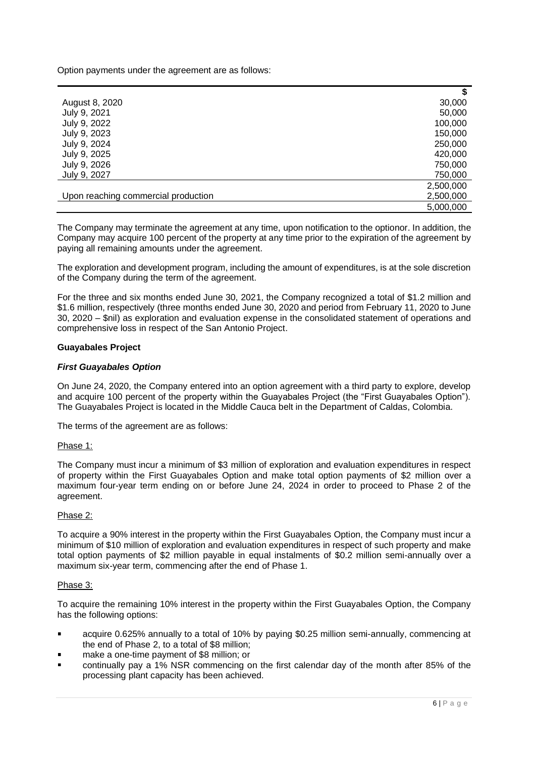Option payments under the agreement are as follows:

|                                     | S         |
|-------------------------------------|-----------|
| August 8, 2020                      | 30,000    |
| July 9, 2021                        | 50,000    |
| July 9, 2022                        | 100,000   |
| July 9, 2023                        | 150,000   |
| July 9, 2024                        | 250,000   |
| July 9, 2025                        | 420,000   |
| July 9, 2026                        | 750,000   |
| July 9, 2027                        | 750,000   |
|                                     | 2,500,000 |
| Upon reaching commercial production | 2,500,000 |
|                                     | 5,000,000 |

The Company may terminate the agreement at any time, upon notification to the optionor. In addition, the Company may acquire 100 percent of the property at any time prior to the expiration of the agreement by paying all remaining amounts under the agreement.

The exploration and development program, including the amount of expenditures, is at the sole discretion of the Company during the term of the agreement.

For the three and six months ended June 30, 2021, the Company recognized a total of \$1.2 million and \$1.6 million, respectively (three months ended June 30, 2020 and period from February 11, 2020 to June 30, 2020 – \$nil) as exploration and evaluation expense in the consolidated statement of operations and comprehensive loss in respect of the San Antonio Project.

# **Guayabales Project**

# *First Guayabales Option*

On June 24, 2020, the Company entered into an option agreement with a third party to explore, develop and acquire 100 percent of the property within the Guayabales Project (the "First Guayabales Option"). The Guayabales Project is located in the Middle Cauca belt in the Department of Caldas, Colombia.

The terms of the agreement are as follows:

#### Phase 1:

The Company must incur a minimum of \$3 million of exploration and evaluation expenditures in respect of property within the First Guayabales Option and make total option payments of \$2 million over a maximum four-year term ending on or before June 24, 2024 in order to proceed to Phase 2 of the agreement.

# Phase 2:

To acquire a 90% interest in the property within the First Guayabales Option, the Company must incur a minimum of \$10 million of exploration and evaluation expenditures in respect of such property and make total option payments of \$2 million payable in equal instalments of \$0.2 million semi-annually over a maximum six-year term, commencing after the end of Phase 1.

#### Phase 3:

To acquire the remaining 10% interest in the property within the First Guayabales Option, the Company has the following options:

- acquire 0.625% annually to a total of 10% by paying \$0.25 million semi-annually, commencing at the end of Phase 2, to a total of \$8 million;
- make a one-time payment of \$8 million; or
- continually pay a 1% NSR commencing on the first calendar day of the month after 85% of the processing plant capacity has been achieved.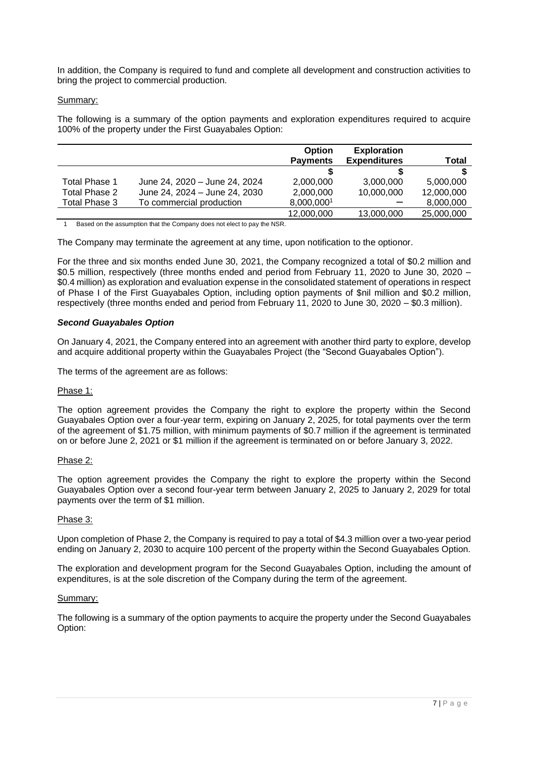In addition, the Company is required to fund and complete all development and construction activities to bring the project to commercial production.

# Summary:

The following is a summary of the option payments and exploration expenditures required to acquire 100% of the property under the First Guayabales Option:

|               |                               | <b>Option</b>   | <b>Exploration</b>  |              |
|---------------|-------------------------------|-----------------|---------------------|--------------|
|               |                               | <b>Payments</b> | <b>Expenditures</b> | <b>Total</b> |
|               |                               |                 |                     |              |
| Total Phase 1 | June 24, 2020 - June 24, 2024 | 2.000.000       | 3,000,000           | 5,000,000    |
| Total Phase 2 | June 24, 2024 – June 24, 2030 | 2,000,000       | 10,000,000          | 12,000,000   |
| Total Phase 3 | To commercial production      | 8,000,0001      |                     | 8,000,000    |
|               |                               | 12,000,000      | 13,000,000          | 25,000,000   |

1 Based on the assumption that the Company does not elect to pay the NSR.

The Company may terminate the agreement at any time, upon notification to the optionor.

For the three and six months ended June 30, 2021, the Company recognized a total of \$0.2 million and \$0.5 million, respectively (three months ended and period from February 11, 2020 to June 30, 2020 – \$0.4 million) as exploration and evaluation expense in the consolidated statement of operations in respect of Phase I of the First Guayabales Option, including option payments of \$nil million and \$0.2 million, respectively (three months ended and period from February 11, 2020 to June 30, 2020 – \$0.3 million).

# *Second Guayabales Option*

On January 4, 2021, the Company entered into an agreement with another third party to explore, develop and acquire additional property within the Guayabales Project (the "Second Guayabales Option").

The terms of the agreement are as follows:

# Phase 1:

The option agreement provides the Company the right to explore the property within the Second Guayabales Option over a four-year term, expiring on January 2, 2025, for total payments over the term of the agreement of \$1.75 million, with minimum payments of \$0.7 million if the agreement is terminated on or before June 2, 2021 or \$1 million if the agreement is terminated on or before January 3, 2022.

# Phase 2:

The option agreement provides the Company the right to explore the property within the Second Guayabales Option over a second four-year term between January 2, 2025 to January 2, 2029 for total payments over the term of \$1 million.

# Phase 3:

Upon completion of Phase 2, the Company is required to pay a total of \$4.3 million over a two-year period ending on January 2, 2030 to acquire 100 percent of the property within the Second Guayabales Option.

The exploration and development program for the Second Guayabales Option, including the amount of expenditures, is at the sole discretion of the Company during the term of the agreement.

#### Summary:

The following is a summary of the option payments to acquire the property under the Second Guayabales Option: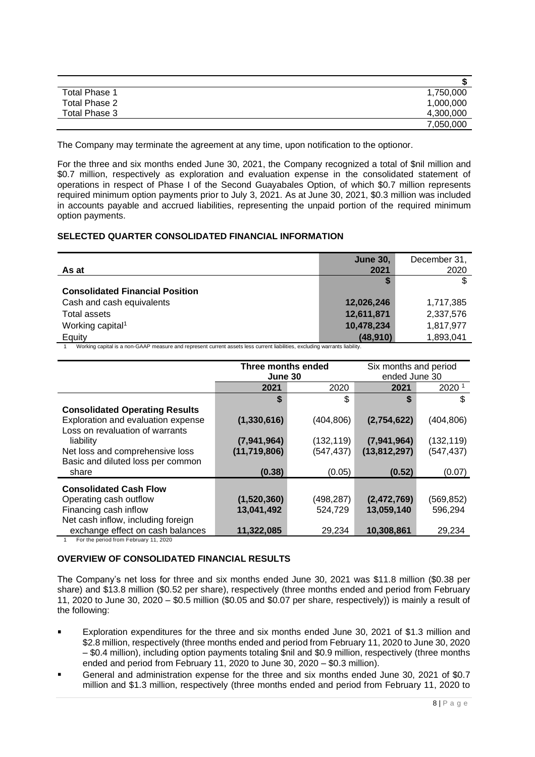| <b>Total Phase 1</b> | 1,750,000 |
|----------------------|-----------|
| Total Phase 2        | 1,000,000 |
| Total Phase 3        | 4,300,000 |
|                      | 7,050,000 |

The Company may terminate the agreement at any time, upon notification to the optionor.

For the three and six months ended June 30, 2021, the Company recognized a total of \$nil million and \$0.7 million, respectively as exploration and evaluation expense in the consolidated statement of operations in respect of Phase I of the Second Guayabales Option, of which \$0.7 million represents required minimum option payments prior to July 3, 2021. As at June 30, 2021, \$0.3 million was included in accounts payable and accrued liabilities, representing the unpaid portion of the required minimum option payments.

# <span id="page-7-0"></span>**SELECTED QUARTER CONSOLIDATED FINANCIAL INFORMATION**

| As at                                  | <b>June 30,</b><br>2021 | December 31,<br>2020 |
|----------------------------------------|-------------------------|----------------------|
| <b>Consolidated Financial Position</b> |                         |                      |
| Cash and cash equivalents              | 12,026,246              | 1,717,385            |
| <b>Total assets</b>                    | 12,611,871              | 2,337,576            |
| Working capital <sup>1</sup>           | 10,478,234              | 1,817,977            |
| Equity                                 | (48, 910)               | 1,893,041            |

1 Working capital is a non-GAAP measure and represent current assets less current liabilities, excluding warrants liability.

| Three months ended<br>June 30 |                           |                      |                                                                     |
|-------------------------------|---------------------------|----------------------|---------------------------------------------------------------------|
| 2021                          | 2020                      | 2021                 | 2020 <sup>1</sup>                                                   |
| \$                            | \$                        |                      | \$                                                                  |
|                               |                           |                      |                                                                     |
| (1,330,616)                   | (404, 806)                | (2,754,622)          | (404, 806)                                                          |
|                               |                           |                      |                                                                     |
| (7,941,964)                   | (132, 119)                | (7,941,964)          | (132, 119)                                                          |
| (11, 719, 806)                | (547, 437)                | (13, 812, 297)       | (547, 437)                                                          |
|                               |                           |                      |                                                                     |
| (0.38)                        | (0.05)                    | (0.52)               | (0.07)                                                              |
|                               |                           |                      |                                                                     |
|                               |                           |                      | (569, 852)                                                          |
|                               |                           |                      | 596,294                                                             |
|                               |                           |                      |                                                                     |
| 11,322,085                    | 29,234                    | 10,308,861           | 29,234                                                              |
|                               | (1,520,360)<br>13,041,492 | (498,287)<br>524,729 | Six months and period<br>ended June 30<br>(2,472,769)<br>13,059,140 |

1 For the period from February 11, 2020

# <span id="page-7-1"></span>**OVERVIEW OF CONSOLIDATED FINANCIAL RESULTS**

The Company's net loss for three and six months ended June 30, 2021 was \$11.8 million (\$0.38 per share) and \$13.8 million (\$0.52 per share), respectively (three months ended and period from February 11, 2020 to June 30, 2020 – \$0.5 million (\$0.05 and \$0.07 per share, respectively)) is mainly a result of the following:

- Exploration expenditures for the three and six months ended June 30, 2021 of \$1.3 million and  $\blacksquare$ \$2.8 million, respectively (three months ended and period from February 11, 2020 to June 30, 2020 – \$0.4 million), including option payments totaling \$nil and \$0.9 million, respectively (three months ended and period from February 11, 2020 to June 30, 2020 – \$0.3 million).
- General and administration expense for the three and six months ended June 30, 2021 of \$0.7 million and \$1.3 million, respectively (three months ended and period from February 11, 2020 to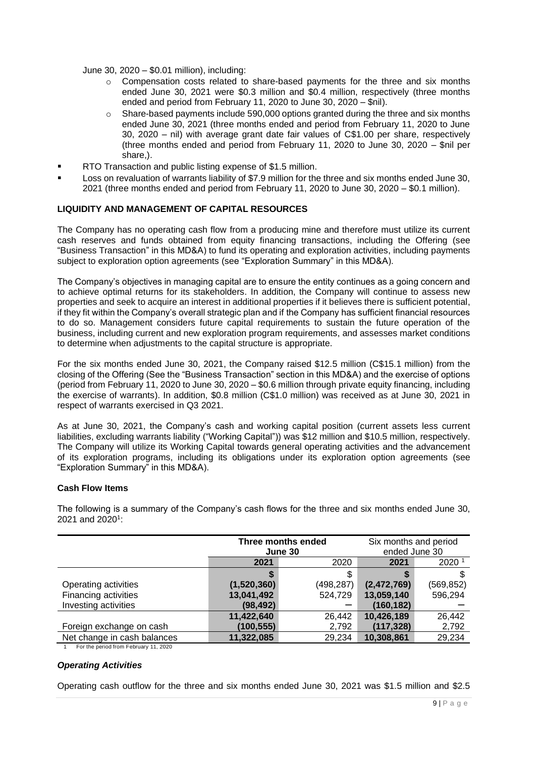June 30, 2020 – \$0.01 million), including:

- o Compensation costs related to share-based payments for the three and six months ended June 30, 2021 were \$0.3 million and \$0.4 million, respectively (three months ended and period from February 11, 2020 to June 30, 2020 – \$nil).
- Share-based payments include 590,000 options granted during the three and six months ended June 30, 2021 (three months ended and period from February 11, 2020 to June 30, 2020 – nil) with average grant date fair values of C\$1.00 per share, respectively (three months ended and period from February 11, 2020 to June 30, 2020 – \$nil per share.).
- RTO Transaction and public listing expense of \$1.5 million.
- Loss on revaluation of warrants liability of \$7.9 million for the three and six months ended June 30, 2021 (three months ended and period from February 11, 2020 to June 30, 2020 – \$0.1 million).

# <span id="page-8-0"></span>**LIQUIDITY AND MANAGEMENT OF CAPITAL RESOURCES**

The Company has no operating cash flow from a producing mine and therefore must utilize its current cash reserves and funds obtained from equity financing transactions, including the Offering (see "Business Transaction" in this MD&A) to fund its operating and exploration activities, including payments subject to exploration option agreements (see "Exploration Summary" in this MD&A).

The Company's objectives in managing capital are to ensure the entity continues as a going concern and to achieve optimal returns for its stakeholders. In addition, the Company will continue to assess new properties and seek to acquire an interest in additional properties if it believes there is sufficient potential, if they fit within the Company's overall strategic plan and if the Company has sufficient financial resources to do so. Management considers future capital requirements to sustain the future operation of the business, including current and new exploration program requirements, and assesses market conditions to determine when adjustments to the capital structure is appropriate.

For the six months ended June 30, 2021, the Company raised \$12.5 million (C\$15.1 million) from the closing of the Offering (See the "Business Transaction" section in this MD&A) and the exercise of options (period from February 11, 2020 to June 30, 2020 – \$0.6 million through private equity financing, including the exercise of warrants). In addition, \$0.8 million (C\$1.0 million) was received as at June 30, 2021 in respect of warrants exercised in Q3 2021.

As at June 30, 2021, the Company's cash and working capital position (current assets less current liabilities, excluding warrants liability ("Working Capital")) was \$12 million and \$10.5 million, respectively. The Company will utilize its Working Capital towards general operating activities and the advancement of its exploration programs, including its obligations under its exploration option agreements (see "Exploration Summary" in this MD&A).

# **Cash Flow Items**

|                             | Three months ended |            | Six months and period |                   |  |
|-----------------------------|--------------------|------------|-----------------------|-------------------|--|
|                             |                    | June 30    | ended June 30         |                   |  |
|                             | 2021               | 2020       | 2021                  | 2020 <sup>1</sup> |  |
|                             |                    |            |                       |                   |  |
| Operating activities        | (1,520,360)        | (498, 287) | (2,472,769)           | (569, 852)        |  |
| Financing activities        | 13,041,492         | 524,729    | 13,059,140            | 596,294           |  |
| Investing activities        | (98, 492)          |            | (160, 182)            |                   |  |
|                             | 11,422,640         | 26,442     | 10,426,189            | 26,442            |  |
| Foreign exchange on cash    | (100,555)          | 2,792      | (117, 328)            | 2,792             |  |
| Net change in cash balances | 11,322,085         | 29,234     | 10,308,861            | 29,234            |  |

The following is a summary of the Company's cash flows for the three and six months ended June 30, 2021 and 2020<sup>1</sup>:

1 For the period from February 11, 2020

#### *Operating Activities*

Operating cash outflow for the three and six months ended June 30, 2021 was \$1.5 million and \$2.5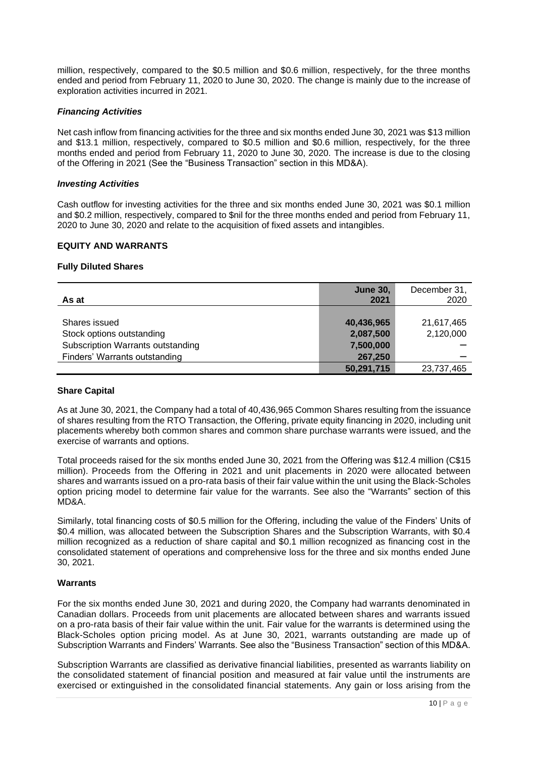million, respectively, compared to the \$0.5 million and \$0.6 million, respectively, for the three months ended and period from February 11, 2020 to June 30, 2020. The change is mainly due to the increase of exploration activities incurred in 2021.

# *Financing Activities*

Net cash inflow from financing activities for the three and six months ended June 30, 2021 was \$13 million and \$13.1 million, respectively, compared to \$0.5 million and \$0.6 million, respectively, for the three months ended and period from February 11, 2020 to June 30, 2020. The increase is due to the closing of the Offering in 2021 (See the "Business Transaction" section in this MD&A).

#### *Investing Activities*

Cash outflow for investing activities for the three and six months ended June 30, 2021 was \$0.1 million and \$0.2 million, respectively, compared to \$nil for the three months ended and period from February 11, 2020 to June 30, 2020 and relate to the acquisition of fixed assets and intangibles.

# <span id="page-9-0"></span>**EQUITY AND WARRANTS**

#### **Fully Diluted Shares**

| As at                             | <b>June 30,</b><br>2021 | December 31,<br>2020 |
|-----------------------------------|-------------------------|----------------------|
|                                   |                         |                      |
| Shares issued                     | 40,436,965              | 21,617,465           |
| Stock options outstanding         | 2,087,500               | 2,120,000            |
| Subscription Warrants outstanding | 7,500,000               |                      |
| Finders' Warrants outstanding     | 267,250                 |                      |
|                                   | 50,291,715              | 23,737,465           |

#### **Share Capital**

As at June 30, 2021, the Company had a total of 40,436,965 Common Shares resulting from the issuance of shares resulting from the RTO Transaction, the Offering, private equity financing in 2020, including unit placements whereby both common shares and common share purchase warrants were issued, and the exercise of warrants and options.

Total proceeds raised for the six months ended June 30, 2021 from the Offering was \$12.4 million (C\$15 million). Proceeds from the Offering in 2021 and unit placements in 2020 were allocated between shares and warrants issued on a pro-rata basis of their fair value within the unit using the Black-Scholes option pricing model to determine fair value for the warrants. See also the "Warrants" section of this MD&A.

Similarly, total financing costs of \$0.5 million for the Offering, including the value of the Finders' Units of \$0.4 million, was allocated between the Subscription Shares and the Subscription Warrants, with \$0.4 million recognized as a reduction of share capital and \$0.1 million recognized as financing cost in the consolidated statement of operations and comprehensive loss for the three and six months ended June 30, 2021.

#### **Warrants**

For the six months ended June 30, 2021 and during 2020, the Company had warrants denominated in Canadian dollars. Proceeds from unit placements are allocated between shares and warrants issued on a pro-rata basis of their fair value within the unit. Fair value for the warrants is determined using the Black-Scholes option pricing model. As at June 30, 2021, warrants outstanding are made up of Subscription Warrants and Finders' Warrants. See also the "Business Transaction" section of this MD&A.

Subscription Warrants are classified as derivative financial liabilities, presented as warrants liability on the consolidated statement of financial position and measured at fair value until the instruments are exercised or extinguished in the consolidated financial statements. Any gain or loss arising from the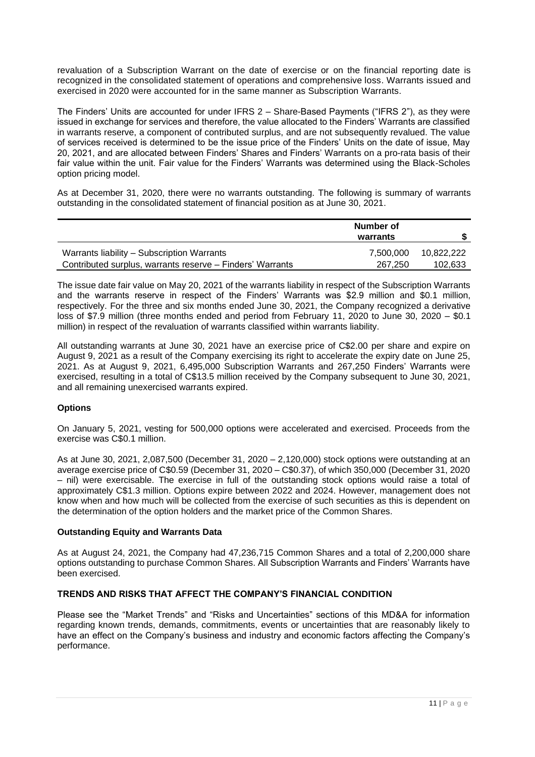revaluation of a Subscription Warrant on the date of exercise or on the financial reporting date is recognized in the consolidated statement of operations and comprehensive loss. Warrants issued and exercised in 2020 were accounted for in the same manner as Subscription Warrants.

The Finders' Units are accounted for under IFRS 2 – Share-Based Payments ("IFRS 2"), as they were issued in exchange for services and therefore, the value allocated to the Finders' Warrants are classified in warrants reserve, a component of contributed surplus, and are not subsequently revalued. The value of services received is determined to be the issue price of the Finders' Units on the date of issue, May 20, 2021, and are allocated between Finders' Shares and Finders' Warrants on a pro-rata basis of their fair value within the unit. Fair value for the Finders' Warrants was determined using the Black-Scholes option pricing model.

As at December 31, 2020, there were no warrants outstanding. The following is summary of warrants outstanding in the consolidated statement of financial position as at June 30, 2021.

|                                                           | Number of<br>warrants |            |
|-----------------------------------------------------------|-----------------------|------------|
| Warrants liability – Subscription Warrants                | 7.500.000             | 10.822.222 |
| Contributed surplus, warrants reserve - Finders' Warrants | 267.250               | 102.633    |

The issue date fair value on May 20, 2021 of the warrants liability in respect of the Subscription Warrants and the warrants reserve in respect of the Finders' Warrants was \$2.9 million and \$0.1 million, respectively. For the three and six months ended June 30, 2021, the Company recognized a derivative loss of \$7.9 million (three months ended and period from February 11, 2020 to June 30, 2020 – \$0.1 million) in respect of the revaluation of warrants classified within warrants liability.

All outstanding warrants at June 30, 2021 have an exercise price of C\$2.00 per share and expire on August 9, 2021 as a result of the Company exercising its right to accelerate the expiry date on June 25, 2021. As at August 9, 2021, 6,495,000 Subscription Warrants and 267,250 Finders' Warrants were exercised, resulting in a total of C\$13.5 million received by the Company subsequent to June 30, 2021, and all remaining unexercised warrants expired.

# **Options**

On January 5, 2021, vesting for 500,000 options were accelerated and exercised. Proceeds from the exercise was C\$0.1 million.

As at June 30, 2021, 2,087,500 (December 31, 2020 – 2,120,000) stock options were outstanding at an average exercise price of C\$0.59 (December 31, 2020 – C\$0.37), of which 350,000 (December 31, 2020 – nil) were exercisable. The exercise in full of the outstanding stock options would raise a total of approximately C\$1.3 million. Options expire between 2022 and 2024. However, management does not know when and how much will be collected from the exercise of such securities as this is dependent on the determination of the option holders and the market price of the Common Shares.

# **Outstanding Equity and Warrants Data**

As at August 24, 2021, the Company had 47,236,715 Common Shares and a total of 2,200,000 share options outstanding to purchase Common Shares. All Subscription Warrants and Finders' Warrants have been exercised.

# <span id="page-10-0"></span>**TRENDS AND RISKS THAT AFFECT THE COMPANY'S FINANCIAL CONDITION**

Please see the "Market Trends" and "Risks and Uncertainties" sections of this MD&A for information regarding known trends, demands, commitments, events or uncertainties that are reasonably likely to have an effect on the Company's business and industry and economic factors affecting the Company's performance.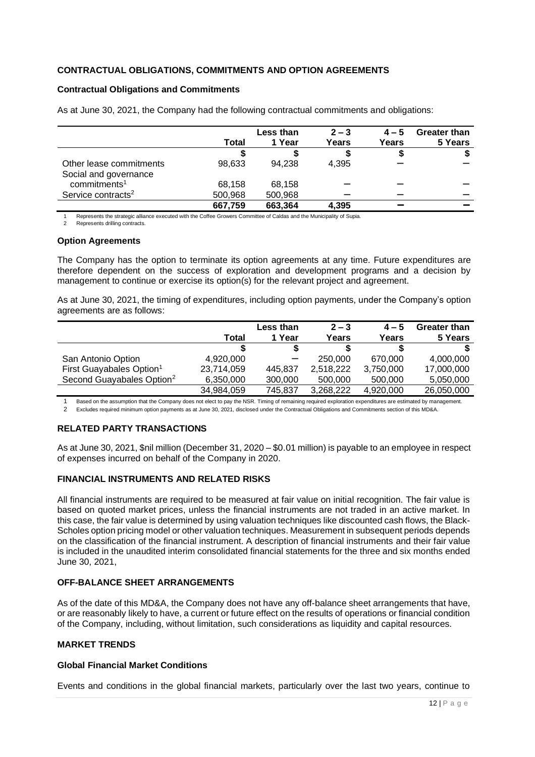# <span id="page-11-0"></span>**CONTRACTUAL OBLIGATIONS, COMMITMENTS AND OPTION AGREEMENTS**

#### **Contractual Obligations and Commitments**

|                                | Total   | Less than<br>1 Year | $2 - 3$<br>Years | $4 - 5$<br>Years | <b>Greater than</b><br>5 Years |
|--------------------------------|---------|---------------------|------------------|------------------|--------------------------------|
|                                |         |                     |                  | Ð                |                                |
| Other lease commitments        | 98.633  | 94,238              | 4,395            |                  |                                |
| Social and governance          |         |                     |                  |                  |                                |
| commitments <sup>1</sup>       | 68.158  | 68,158              |                  |                  |                                |
| Service contracts <sup>2</sup> | 500,968 | 500,968             |                  |                  |                                |
|                                | 667,759 | 663,364             | 4,395            |                  |                                |

As at June 30, 2021, the Company had the following contractual commitments and obligations:

Represents the strategic alliance executed with the Coffee Growers Committee of Caldas and the Municipality of Supia.

Represents drilling contracts.

#### **Option Agreements**

The Company has the option to terminate its option agreements at any time. Future expenditures are therefore dependent on the success of exploration and development programs and a decision by management to continue or exercise its option(s) for the relevant project and agreement.

As at June 30, 2021, the timing of expenditures, including option payments, under the Company's option agreements are as follows:

|                                       |            | Less than | $2 - 3$   | $4 - 5$   | Greater than |
|---------------------------------------|------------|-----------|-----------|-----------|--------------|
|                                       | Total      | 1 Year    | Years     | Years     | 5 Years      |
|                                       |            |           |           | S         |              |
| San Antonio Option                    | 4,920,000  |           | 250,000   | 670,000   | 4,000,000    |
| First Guayabales Option <sup>1</sup>  | 23,714,059 | 445,837   | 2,518,222 | 3,750,000 | 17,000,000   |
| Second Guayabales Option <sup>2</sup> | 6,350,000  | 300,000   | 500,000   | 500,000   | 5,050,000    |
|                                       | 34,984,059 | 745,837   | 3,268,222 | 4,920,000 | 26,050,000   |
|                                       |            |           |           |           |              |

1 Based on the assumption that the Company does not elect to pay the NSR. Timing of remaining required exploration expenditures are estimated by management.<br>2 Excludes required minimum option payments as at June 30, 2021, 2 Excludes required minimum option payments as at June 30, 2021, disclosed under the Contractual Obligations and Commitments section of this MD&A.

# <span id="page-11-1"></span>**RELATED PARTY TRANSACTIONS**

As at June 30, 2021, \$nil million (December 31, 2020 – \$0.01 million) is payable to an employee in respect of expenses incurred on behalf of the Company in 2020.

# <span id="page-11-2"></span>**FINANCIAL INSTRUMENTS AND RELATED RISKS**

All financial instruments are required to be measured at fair value on initial recognition. The fair value is based on quoted market prices, unless the financial instruments are not traded in an active market. In this case, the fair value is determined by using valuation techniques like discounted cash flows, the Black-Scholes option pricing model or other valuation techniques. Measurement in subsequent periods depends on the classification of the financial instrument. A description of financial instruments and their fair value is included in the unaudited interim consolidated financial statements for the three and six months ended June 30, 2021,

# <span id="page-11-3"></span>**OFF-BALANCE SHEET ARRANGEMENTS**

As of the date of this MD&A, the Company does not have any off-balance sheet arrangements that have, or are reasonably likely to have, a current or future effect on the results of operations or financial condition of the Company, including, without limitation, such considerations as liquidity and capital resources.

#### <span id="page-11-4"></span>**MARKET TRENDS**

# **Global Financial Market Conditions**

Events and conditions in the global financial markets, particularly over the last two years, continue to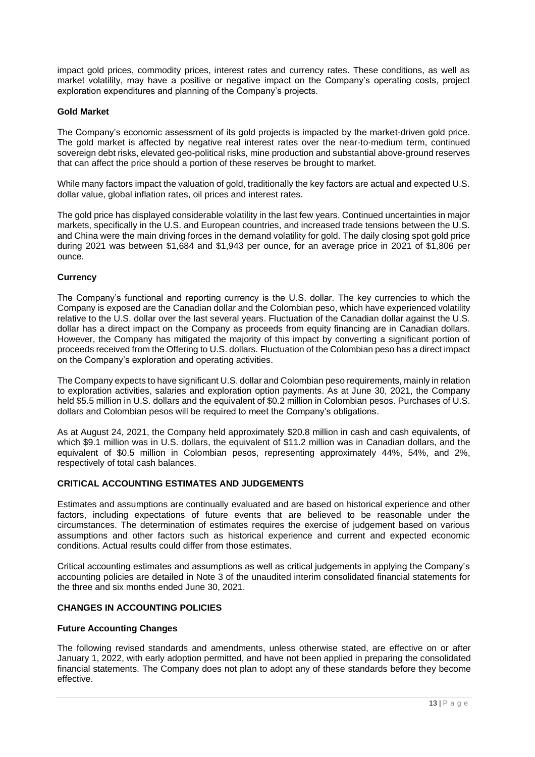impact gold prices, commodity prices, interest rates and currency rates. These conditions, as well as market volatility, may have a positive or negative impact on the Company's operating costs, project exploration expenditures and planning of the Company's projects.

# **Gold Market**

The Company's economic assessment of its gold projects is impacted by the market-driven gold price. The gold market is affected by negative real interest rates over the near-to-medium term, continued sovereign debt risks, elevated geo-political risks, mine production and substantial above-ground reserves that can affect the price should a portion of these reserves be brought to market.

While many factors impact the valuation of gold, traditionally the key factors are actual and expected U.S. dollar value, global inflation rates, oil prices and interest rates.

The gold price has displayed considerable volatility in the last few years. Continued uncertainties in major markets, specifically in the U.S. and European countries, and increased trade tensions between the U.S. and China were the main driving forces in the demand volatility for gold. The daily closing spot gold price during 2021 was between \$1,684 and \$1,943 per ounce, for an average price in 2021 of \$1,806 per ounce.

# **Currency**

The Company's functional and reporting currency is the U.S. dollar. The key currencies to which the Company is exposed are the Canadian dollar and the Colombian peso, which have experienced volatility relative to the U.S. dollar over the last several years. Fluctuation of the Canadian dollar against the U.S. dollar has a direct impact on the Company as proceeds from equity financing are in Canadian dollars. However, the Company has mitigated the majority of this impact by converting a significant portion of proceeds received from the Offering to U.S. dollars. Fluctuation of the Colombian peso has a direct impact on the Company's exploration and operating activities.

The Company expects to have significant U.S. dollar and Colombian peso requirements, mainly in relation to exploration activities, salaries and exploration option payments. As at June 30, 2021, the Company held \$5.5 million in U.S. dollars and the equivalent of \$0.2 million in Colombian pesos. Purchases of U.S. dollars and Colombian pesos will be required to meet the Company's obligations.

As at August 24, 2021, the Company held approximately \$20.8 million in cash and cash equivalents, of which \$9.1 million was in U.S. dollars, the equivalent of \$11.2 million was in Canadian dollars, and the equivalent of \$0.5 million in Colombian pesos, representing approximately 44%, 54%, and 2%, respectively of total cash balances.

# <span id="page-12-0"></span>**CRITICAL ACCOUNTING ESTIMATES AND JUDGEMENTS**

Estimates and assumptions are continually evaluated and are based on historical experience and other factors, including expectations of future events that are believed to be reasonable under the circumstances. The determination of estimates requires the exercise of judgement based on various assumptions and other factors such as historical experience and current and expected economic conditions. Actual results could differ from those estimates.

Critical accounting estimates and assumptions as well as critical judgements in applying the Company's accounting policies are detailed in Note 3 of the unaudited interim consolidated financial statements for the three and six months ended June 30, 2021.

# <span id="page-12-1"></span>**CHANGES IN ACCOUNTING POLICIES**

#### **Future Accounting Changes**

The following revised standards and amendments, unless otherwise stated, are effective on or after January 1, 2022, with early adoption permitted, and have not been applied in preparing the consolidated financial statements. The Company does not plan to adopt any of these standards before they become effective.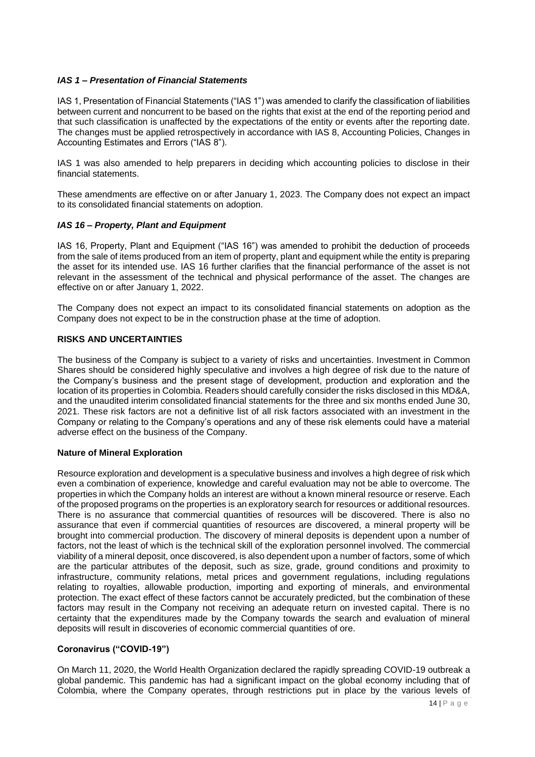# *IAS 1 – Presentation of Financial Statements*

IAS 1, Presentation of Financial Statements ("IAS 1") was amended to clarify the classification of liabilities between current and noncurrent to be based on the rights that exist at the end of the reporting period and that such classification is unaffected by the expectations of the entity or events after the reporting date. The changes must be applied retrospectively in accordance with IAS 8, Accounting Policies, Changes in Accounting Estimates and Errors ("IAS 8").

IAS 1 was also amended to help preparers in deciding which accounting policies to disclose in their financial statements.

These amendments are effective on or after January 1, 2023. The Company does not expect an impact to its consolidated financial statements on adoption.

# *IAS 16 – Property, Plant and Equipment*

IAS 16, Property, Plant and Equipment ("IAS 16") was amended to prohibit the deduction of proceeds from the sale of items produced from an item of property, plant and equipment while the entity is preparing the asset for its intended use. IAS 16 further clarifies that the financial performance of the asset is not relevant in the assessment of the technical and physical performance of the asset. The changes are effective on or after January 1, 2022.

The Company does not expect an impact to its consolidated financial statements on adoption as the Company does not expect to be in the construction phase at the time of adoption.

# <span id="page-13-0"></span>**RISKS AND UNCERTAINTIES**

The business of the Company is subject to a variety of risks and uncertainties. Investment in Common Shares should be considered highly speculative and involves a high degree of risk due to the nature of the Company's business and the present stage of development, production and exploration and the location of its properties in Colombia. Readers should carefully consider the risks disclosed in this MD&A, and the unaudited interim consolidated financial statements for the three and six months ended June 30, 2021. These risk factors are not a definitive list of all risk factors associated with an investment in the Company or relating to the Company's operations and any of these risk elements could have a material adverse effect on the business of the Company.

#### **Nature of Mineral Exploration**

Resource exploration and development is a speculative business and involves a high degree of risk which even a combination of experience, knowledge and careful evaluation may not be able to overcome. The properties in which the Company holds an interest are without a known mineral resource or reserve. Each of the proposed programs on the properties is an exploratory search for resources or additional resources. There is no assurance that commercial quantities of resources will be discovered. There is also no assurance that even if commercial quantities of resources are discovered, a mineral property will be brought into commercial production. The discovery of mineral deposits is dependent upon a number of factors, not the least of which is the technical skill of the exploration personnel involved. The commercial viability of a mineral deposit, once discovered, is also dependent upon a number of factors, some of which are the particular attributes of the deposit, such as size, grade, ground conditions and proximity to infrastructure, community relations, metal prices and government regulations, including regulations relating to royalties, allowable production, importing and exporting of minerals, and environmental protection. The exact effect of these factors cannot be accurately predicted, but the combination of these factors may result in the Company not receiving an adequate return on invested capital. There is no certainty that the expenditures made by the Company towards the search and evaluation of mineral deposits will result in discoveries of economic commercial quantities of ore.

#### **Coronavirus ("COVID-19")**

On March 11, 2020, the World Health Organization declared the rapidly spreading COVID-19 outbreak a global pandemic. This pandemic has had a significant impact on the global economy including that of Colombia, where the Company operates, through restrictions put in place by the various levels of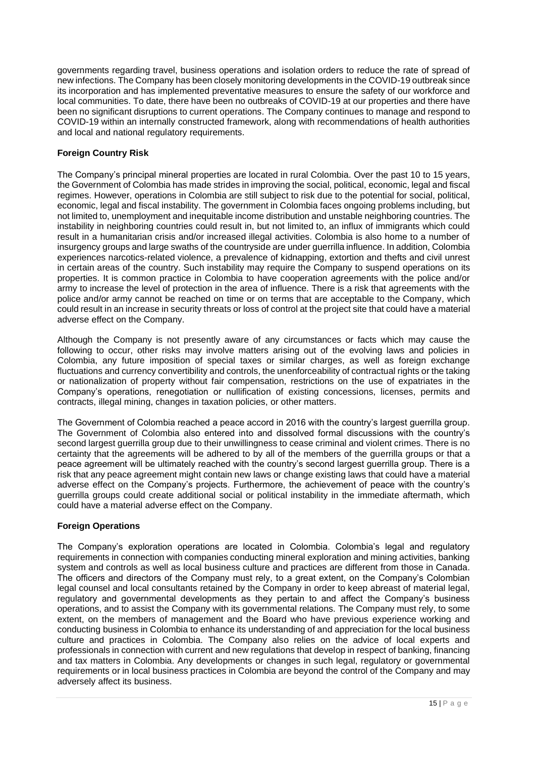governments regarding travel, business operations and isolation orders to reduce the rate of spread of new infections. The Company has been closely monitoring developments in the COVID-19 outbreak since its incorporation and has implemented preventative measures to ensure the safety of our workforce and local communities. To date, there have been no outbreaks of COVID-19 at our properties and there have been no significant disruptions to current operations. The Company continues to manage and respond to COVID-19 within an internally constructed framework, along with recommendations of health authorities and local and national regulatory requirements.

# **Foreign Country Risk**

The Company's principal mineral properties are located in rural Colombia. Over the past 10 to 15 years, the Government of Colombia has made strides in improving the social, political, economic, legal and fiscal regimes. However, operations in Colombia are still subject to risk due to the potential for social, political, economic, legal and fiscal instability. The government in Colombia faces ongoing problems including, but not limited to, unemployment and inequitable income distribution and unstable neighboring countries. The instability in neighboring countries could result in, but not limited to, an influx of immigrants which could result in a humanitarian crisis and/or increased illegal activities. Colombia is also home to a number of insurgency groups and large swaths of the countryside are under guerrilla influence. In addition, Colombia experiences narcotics-related violence, a prevalence of kidnapping, extortion and thefts and civil unrest in certain areas of the country. Such instability may require the Company to suspend operations on its properties. It is common practice in Colombia to have cooperation agreements with the police and/or army to increase the level of protection in the area of influence. There is a risk that agreements with the police and/or army cannot be reached on time or on terms that are acceptable to the Company, which could result in an increase in security threats or loss of control at the project site that could have a material adverse effect on the Company.

Although the Company is not presently aware of any circumstances or facts which may cause the following to occur, other risks may involve matters arising out of the evolving laws and policies in Colombia, any future imposition of special taxes or similar charges, as well as foreign exchange fluctuations and currency convertibility and controls, the unenforceability of contractual rights or the taking or nationalization of property without fair compensation, restrictions on the use of expatriates in the Company's operations, renegotiation or nullification of existing concessions, licenses, permits and contracts, illegal mining, changes in taxation policies, or other matters.

The Government of Colombia reached a peace accord in 2016 with the country's largest guerrilla group. The Government of Colombia also entered into and dissolved formal discussions with the country's second largest guerrilla group due to their unwillingness to cease criminal and violent crimes. There is no certainty that the agreements will be adhered to by all of the members of the guerrilla groups or that a peace agreement will be ultimately reached with the country's second largest guerrilla group. There is a risk that any peace agreement might contain new laws or change existing laws that could have a material adverse effect on the Company's projects. Furthermore, the achievement of peace with the country's guerrilla groups could create additional social or political instability in the immediate aftermath, which could have a material adverse effect on the Company.

# **Foreign Operations**

The Company's exploration operations are located in Colombia. Colombia's legal and regulatory requirements in connection with companies conducting mineral exploration and mining activities, banking system and controls as well as local business culture and practices are different from those in Canada. The officers and directors of the Company must rely, to a great extent, on the Company's Colombian legal counsel and local consultants retained by the Company in order to keep abreast of material legal, regulatory and governmental developments as they pertain to and affect the Company's business operations, and to assist the Company with its governmental relations. The Company must rely, to some extent, on the members of management and the Board who have previous experience working and conducting business in Colombia to enhance its understanding of and appreciation for the local business culture and practices in Colombia. The Company also relies on the advice of local experts and professionals in connection with current and new regulations that develop in respect of banking, financing and tax matters in Colombia. Any developments or changes in such legal, regulatory or governmental requirements or in local business practices in Colombia are beyond the control of the Company and may adversely affect its business.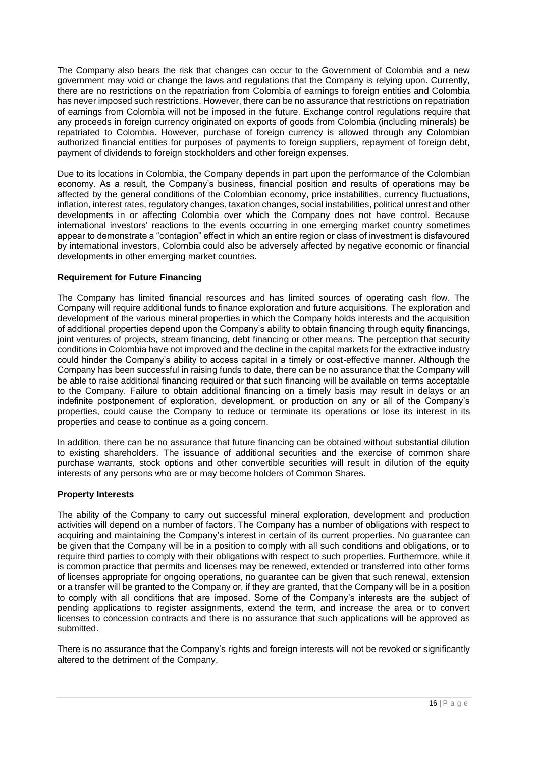The Company also bears the risk that changes can occur to the Government of Colombia and a new government may void or change the laws and regulations that the Company is relying upon. Currently, there are no restrictions on the repatriation from Colombia of earnings to foreign entities and Colombia has never imposed such restrictions. However, there can be no assurance that restrictions on repatriation of earnings from Colombia will not be imposed in the future. Exchange control regulations require that any proceeds in foreign currency originated on exports of goods from Colombia (including minerals) be repatriated to Colombia. However, purchase of foreign currency is allowed through any Colombian authorized financial entities for purposes of payments to foreign suppliers, repayment of foreign debt, payment of dividends to foreign stockholders and other foreign expenses.

Due to its locations in Colombia, the Company depends in part upon the performance of the Colombian economy. As a result, the Company's business, financial position and results of operations may be affected by the general conditions of the Colombian economy, price instabilities, currency fluctuations, inflation, interest rates, regulatory changes, taxation changes, social instabilities, political unrest and other developments in or affecting Colombia over which the Company does not have control. Because international investors' reactions to the events occurring in one emerging market country sometimes appear to demonstrate a "contagion" effect in which an entire region or class of investment is disfavoured by international investors, Colombia could also be adversely affected by negative economic or financial developments in other emerging market countries.

# **Requirement for Future Financing**

The Company has limited financial resources and has limited sources of operating cash flow. The Company will require additional funds to finance exploration and future acquisitions. The exploration and development of the various mineral properties in which the Company holds interests and the acquisition of additional properties depend upon the Company's ability to obtain financing through equity financings, joint ventures of projects, stream financing, debt financing or other means. The perception that security conditions in Colombia have not improved and the decline in the capital markets for the extractive industry could hinder the Company's ability to access capital in a timely or cost-effective manner. Although the Company has been successful in raising funds to date, there can be no assurance that the Company will be able to raise additional financing required or that such financing will be available on terms acceptable to the Company. Failure to obtain additional financing on a timely basis may result in delays or an indefinite postponement of exploration, development, or production on any or all of the Company's properties, could cause the Company to reduce or terminate its operations or lose its interest in its properties and cease to continue as a going concern.

In addition, there can be no assurance that future financing can be obtained without substantial dilution to existing shareholders. The issuance of additional securities and the exercise of common share purchase warrants, stock options and other convertible securities will result in dilution of the equity interests of any persons who are or may become holders of Common Shares.

# **Property Interests**

The ability of the Company to carry out successful mineral exploration, development and production activities will depend on a number of factors. The Company has a number of obligations with respect to acquiring and maintaining the Company's interest in certain of its current properties. No guarantee can be given that the Company will be in a position to comply with all such conditions and obligations, or to require third parties to comply with their obligations with respect to such properties. Furthermore, while it is common practice that permits and licenses may be renewed, extended or transferred into other forms of licenses appropriate for ongoing operations, no guarantee can be given that such renewal, extension or a transfer will be granted to the Company or, if they are granted, that the Company will be in a position to comply with all conditions that are imposed. Some of the Company's interests are the subject of pending applications to register assignments, extend the term, and increase the area or to convert licenses to concession contracts and there is no assurance that such applications will be approved as submitted.

There is no assurance that the Company's rights and foreign interests will not be revoked or significantly altered to the detriment of the Company.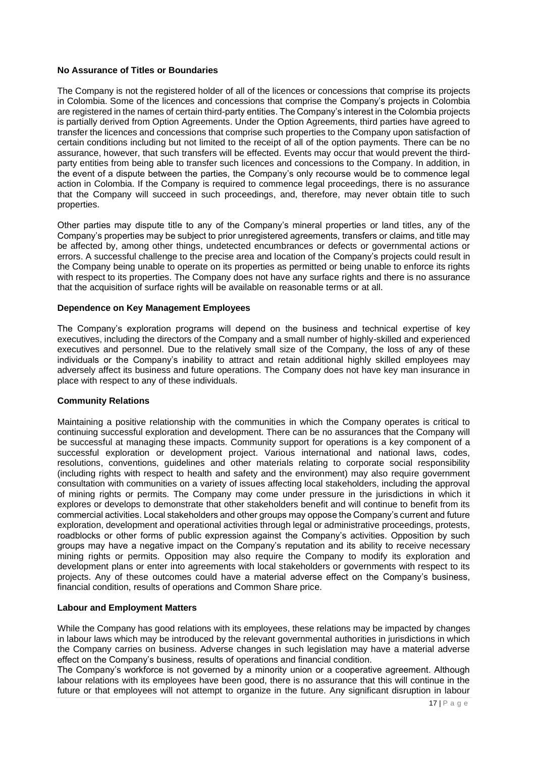#### **No Assurance of Titles or Boundaries**

The Company is not the registered holder of all of the licences or concessions that comprise its projects in Colombia. Some of the licences and concessions that comprise the Company's projects in Colombia are registered in the names of certain third-party entities. The Company's interest in the Colombia projects is partially derived from Option Agreements. Under the Option Agreements, third parties have agreed to transfer the licences and concessions that comprise such properties to the Company upon satisfaction of certain conditions including but not limited to the receipt of all of the option payments. There can be no assurance, however, that such transfers will be effected. Events may occur that would prevent the thirdparty entities from being able to transfer such licences and concessions to the Company. In addition, in the event of a dispute between the parties, the Company's only recourse would be to commence legal action in Colombia. If the Company is required to commence legal proceedings, there is no assurance that the Company will succeed in such proceedings, and, therefore, may never obtain title to such properties.

Other parties may dispute title to any of the Company's mineral properties or land titles, any of the Company's properties may be subject to prior unregistered agreements, transfers or claims, and title may be affected by, among other things, undetected encumbrances or defects or governmental actions or errors. A successful challenge to the precise area and location of the Company's projects could result in the Company being unable to operate on its properties as permitted or being unable to enforce its rights with respect to its properties. The Company does not have any surface rights and there is no assurance that the acquisition of surface rights will be available on reasonable terms or at all.

# **Dependence on Key Management Employees**

The Company's exploration programs will depend on the business and technical expertise of key executives, including the directors of the Company and a small number of highly-skilled and experienced executives and personnel. Due to the relatively small size of the Company, the loss of any of these individuals or the Company's inability to attract and retain additional highly skilled employees may adversely affect its business and future operations. The Company does not have key man insurance in place with respect to any of these individuals.

#### **Community Relations**

Maintaining a positive relationship with the communities in which the Company operates is critical to continuing successful exploration and development. There can be no assurances that the Company will be successful at managing these impacts. Community support for operations is a key component of a successful exploration or development project. Various international and national laws, codes, resolutions, conventions, guidelines and other materials relating to corporate social responsibility (including rights with respect to health and safety and the environment) may also require government consultation with communities on a variety of issues affecting local stakeholders, including the approval of mining rights or permits. The Company may come under pressure in the jurisdictions in which it explores or develops to demonstrate that other stakeholders benefit and will continue to benefit from its commercial activities. Local stakeholders and other groups may oppose the Company's current and future exploration, development and operational activities through legal or administrative proceedings, protests, roadblocks or other forms of public expression against the Company's activities. Opposition by such groups may have a negative impact on the Company's reputation and its ability to receive necessary mining rights or permits. Opposition may also require the Company to modify its exploration and development plans or enter into agreements with local stakeholders or governments with respect to its projects. Any of these outcomes could have a material adverse effect on the Company's business, financial condition, results of operations and Common Share price.

#### **Labour and Employment Matters**

While the Company has good relations with its employees, these relations may be impacted by changes in labour laws which may be introduced by the relevant governmental authorities in jurisdictions in which the Company carries on business. Adverse changes in such legislation may have a material adverse effect on the Company's business, results of operations and financial condition.

The Company's workforce is not governed by a minority union or a cooperative agreement. Although labour relations with its employees have been good, there is no assurance that this will continue in the future or that employees will not attempt to organize in the future. Any significant disruption in labour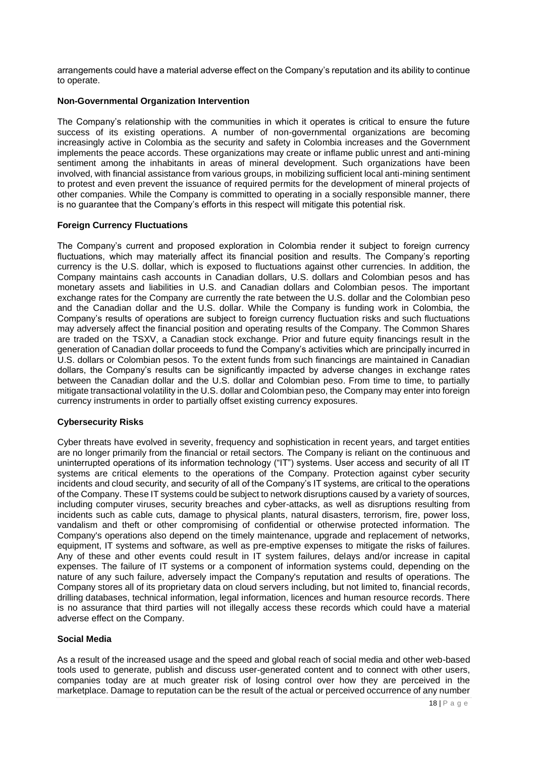arrangements could have a material adverse effect on the Company's reputation and its ability to continue to operate.

# **Non-Governmental Organization Intervention**

The Company's relationship with the communities in which it operates is critical to ensure the future success of its existing operations. A number of non-governmental organizations are becoming increasingly active in Colombia as the security and safety in Colombia increases and the Government implements the peace accords. These organizations may create or inflame public unrest and anti-mining sentiment among the inhabitants in areas of mineral development. Such organizations have been involved, with financial assistance from various groups, in mobilizing sufficient local anti-mining sentiment to protest and even prevent the issuance of required permits for the development of mineral projects of other companies. While the Company is committed to operating in a socially responsible manner, there is no guarantee that the Company's efforts in this respect will mitigate this potential risk.

#### **Foreign Currency Fluctuations**

The Company's current and proposed exploration in Colombia render it subject to foreign currency fluctuations, which may materially affect its financial position and results. The Company's reporting currency is the U.S. dollar, which is exposed to fluctuations against other currencies. In addition, the Company maintains cash accounts in Canadian dollars, U.S. dollars and Colombian pesos and has monetary assets and liabilities in U.S. and Canadian dollars and Colombian pesos. The important exchange rates for the Company are currently the rate between the U.S. dollar and the Colombian peso and the Canadian dollar and the U.S. dollar. While the Company is funding work in Colombia, the Company's results of operations are subject to foreign currency fluctuation risks and such fluctuations may adversely affect the financial position and operating results of the Company. The Common Shares are traded on the TSXV, a Canadian stock exchange. Prior and future equity financings result in the generation of Canadian dollar proceeds to fund the Company's activities which are principally incurred in U.S. dollars or Colombian pesos. To the extent funds from such financings are maintained in Canadian dollars, the Company's results can be significantly impacted by adverse changes in exchange rates between the Canadian dollar and the U.S. dollar and Colombian peso. From time to time, to partially mitigate transactional volatility in the U.S. dollar and Colombian peso, the Company may enter into foreign currency instruments in order to partially offset existing currency exposures.

#### **Cybersecurity Risks**

Cyber threats have evolved in severity, frequency and sophistication in recent years, and target entities are no longer primarily from the financial or retail sectors. The Company is reliant on the continuous and uninterrupted operations of its information technology ("IT") systems. User access and security of all IT systems are critical elements to the operations of the Company. Protection against cyber security incidents and cloud security, and security of all of the Company's IT systems, are critical to the operations of the Company. These IT systems could be subject to network disruptions caused by a variety of sources, including computer viruses, security breaches and cyber-attacks, as well as disruptions resulting from incidents such as cable cuts, damage to physical plants, natural disasters, terrorism, fire, power loss, vandalism and theft or other compromising of confidential or otherwise protected information. The Company's operations also depend on the timely maintenance, upgrade and replacement of networks, equipment, IT systems and software, as well as pre-emptive expenses to mitigate the risks of failures. Any of these and other events could result in IT system failures, delays and/or increase in capital expenses. The failure of IT systems or a component of information systems could, depending on the nature of any such failure, adversely impact the Company's reputation and results of operations. The Company stores all of its proprietary data on cloud servers including, but not limited to, financial records, drilling databases, technical information, legal information, licences and human resource records. There is no assurance that third parties will not illegally access these records which could have a material adverse effect on the Company.

#### **Social Media**

As a result of the increased usage and the speed and global reach of social media and other web-based tools used to generate, publish and discuss user-generated content and to connect with other users, companies today are at much greater risk of losing control over how they are perceived in the marketplace. Damage to reputation can be the result of the actual or perceived occurrence of any number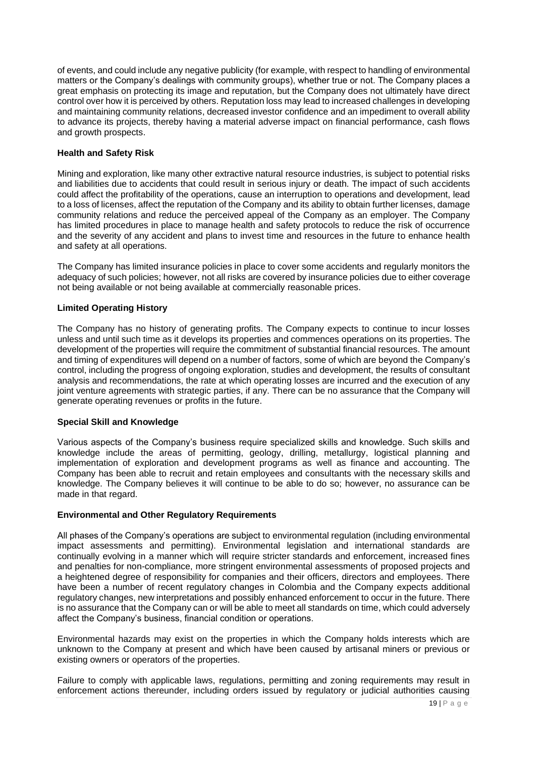of events, and could include any negative publicity (for example, with respect to handling of environmental matters or the Company's dealings with community groups), whether true or not. The Company places a great emphasis on protecting its image and reputation, but the Company does not ultimately have direct control over how it is perceived by others. Reputation loss may lead to increased challenges in developing and maintaining community relations, decreased investor confidence and an impediment to overall ability to advance its projects, thereby having a material adverse impact on financial performance, cash flows and growth prospects.

# **Health and Safety Risk**

Mining and exploration, like many other extractive natural resource industries, is subject to potential risks and liabilities due to accidents that could result in serious injury or death. The impact of such accidents could affect the profitability of the operations, cause an interruption to operations and development, lead to a loss of licenses, affect the reputation of the Company and its ability to obtain further licenses, damage community relations and reduce the perceived appeal of the Company as an employer. The Company has limited procedures in place to manage health and safety protocols to reduce the risk of occurrence and the severity of any accident and plans to invest time and resources in the future to enhance health and safety at all operations.

The Company has limited insurance policies in place to cover some accidents and regularly monitors the adequacy of such policies; however, not all risks are covered by insurance policies due to either coverage not being available or not being available at commercially reasonable prices.

# **Limited Operating History**

The Company has no history of generating profits. The Company expects to continue to incur losses unless and until such time as it develops its properties and commences operations on its properties. The development of the properties will require the commitment of substantial financial resources. The amount and timing of expenditures will depend on a number of factors, some of which are beyond the Company's control, including the progress of ongoing exploration, studies and development, the results of consultant analysis and recommendations, the rate at which operating losses are incurred and the execution of any joint venture agreements with strategic parties, if any. There can be no assurance that the Company will generate operating revenues or profits in the future.

#### **Special Skill and Knowledge**

Various aspects of the Company's business require specialized skills and knowledge. Such skills and knowledge include the areas of permitting, geology, drilling, metallurgy, logistical planning and implementation of exploration and development programs as well as finance and accounting. The Company has been able to recruit and retain employees and consultants with the necessary skills and knowledge. The Company believes it will continue to be able to do so; however, no assurance can be made in that regard.

#### **Environmental and Other Regulatory Requirements**

All phases of the Company's operations are subject to environmental regulation (including environmental impact assessments and permitting). Environmental legislation and international standards are continually evolving in a manner which will require stricter standards and enforcement, increased fines and penalties for non-compliance, more stringent environmental assessments of proposed projects and a heightened degree of responsibility for companies and their officers, directors and employees. There have been a number of recent regulatory changes in Colombia and the Company expects additional regulatory changes, new interpretations and possibly enhanced enforcement to occur in the future. There is no assurance that the Company can or will be able to meet all standards on time, which could adversely affect the Company's business, financial condition or operations.

Environmental hazards may exist on the properties in which the Company holds interests which are unknown to the Company at present and which have been caused by artisanal miners or previous or existing owners or operators of the properties.

Failure to comply with applicable laws, regulations, permitting and zoning requirements may result in enforcement actions thereunder, including orders issued by regulatory or judicial authorities causing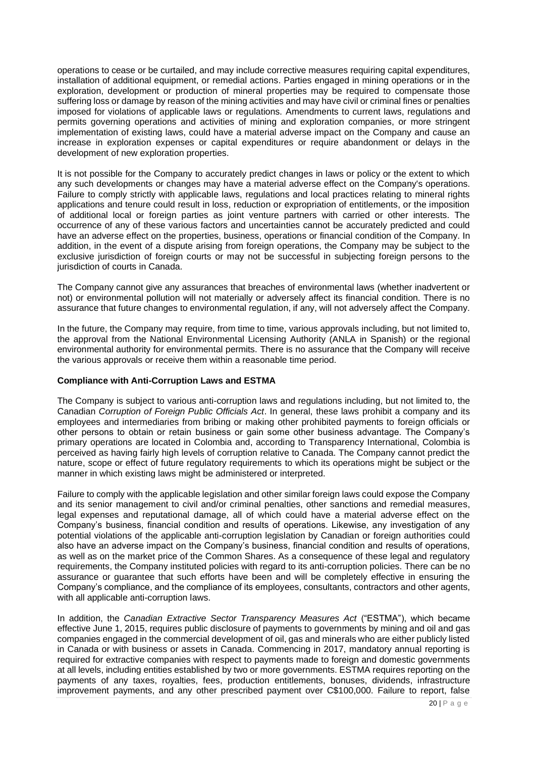operations to cease or be curtailed, and may include corrective measures requiring capital expenditures, installation of additional equipment, or remedial actions. Parties engaged in mining operations or in the exploration, development or production of mineral properties may be required to compensate those suffering loss or damage by reason of the mining activities and may have civil or criminal fines or penalties imposed for violations of applicable laws or regulations. Amendments to current laws, regulations and permits governing operations and activities of mining and exploration companies, or more stringent implementation of existing laws, could have a material adverse impact on the Company and cause an increase in exploration expenses or capital expenditures or require abandonment or delays in the development of new exploration properties.

It is not possible for the Company to accurately predict changes in laws or policy or the extent to which any such developments or changes may have a material adverse effect on the Company's operations. Failure to comply strictly with applicable laws, regulations and local practices relating to mineral rights applications and tenure could result in loss, reduction or expropriation of entitlements, or the imposition of additional local or foreign parties as joint venture partners with carried or other interests. The occurrence of any of these various factors and uncertainties cannot be accurately predicted and could have an adverse effect on the properties, business, operations or financial condition of the Company. In addition, in the event of a dispute arising from foreign operations, the Company may be subject to the exclusive jurisdiction of foreign courts or may not be successful in subjecting foreign persons to the jurisdiction of courts in Canada.

The Company cannot give any assurances that breaches of environmental laws (whether inadvertent or not) or environmental pollution will not materially or adversely affect its financial condition. There is no assurance that future changes to environmental regulation, if any, will not adversely affect the Company.

In the future, the Company may require, from time to time, various approvals including, but not limited to, the approval from the National Environmental Licensing Authority (ANLA in Spanish) or the regional environmental authority for environmental permits. There is no assurance that the Company will receive the various approvals or receive them within a reasonable time period.

# **Compliance with Anti-Corruption Laws and ESTMA**

The Company is subject to various anti-corruption laws and regulations including, but not limited to, the Canadian *Corruption of Foreign Public Officials Act*. In general, these laws prohibit a company and its employees and intermediaries from bribing or making other prohibited payments to foreign officials or other persons to obtain or retain business or gain some other business advantage. The Company's primary operations are located in Colombia and, according to Transparency International, Colombia is perceived as having fairly high levels of corruption relative to Canada. The Company cannot predict the nature, scope or effect of future regulatory requirements to which its operations might be subject or the manner in which existing laws might be administered or interpreted.

Failure to comply with the applicable legislation and other similar foreign laws could expose the Company and its senior management to civil and/or criminal penalties, other sanctions and remedial measures, legal expenses and reputational damage, all of which could have a material adverse effect on the Company's business, financial condition and results of operations. Likewise, any investigation of any potential violations of the applicable anti-corruption legislation by Canadian or foreign authorities could also have an adverse impact on the Company's business, financial condition and results of operations, as well as on the market price of the Common Shares. As a consequence of these legal and regulatory requirements, the Company instituted policies with regard to its anti-corruption policies. There can be no assurance or guarantee that such efforts have been and will be completely effective in ensuring the Company's compliance, and the compliance of its employees, consultants, contractors and other agents, with all applicable anti-corruption laws.

In addition, the *Canadian Extractive Sector Transparency Measures Act* ("ESTMA"), which became effective June 1, 2015, requires public disclosure of payments to governments by mining and oil and gas companies engaged in the commercial development of oil, gas and minerals who are either publicly listed in Canada or with business or assets in Canada. Commencing in 2017, mandatory annual reporting is required for extractive companies with respect to payments made to foreign and domestic governments at all levels, including entities established by two or more governments. ESTMA requires reporting on the payments of any taxes, royalties, fees, production entitlements, bonuses, dividends, infrastructure improvement payments, and any other prescribed payment over C\$100,000. Failure to report, false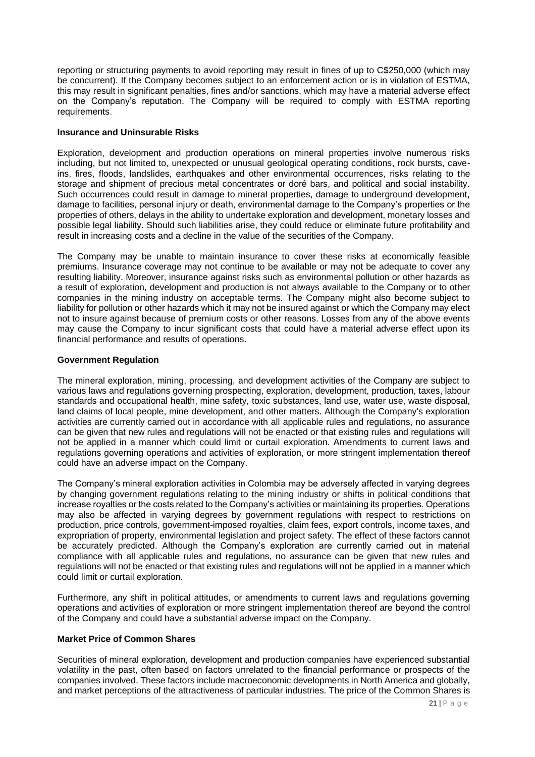reporting or structuring payments to avoid reporting may result in fines of up to C\$250,000 (which may be concurrent). If the Company becomes subject to an enforcement action or is in violation of ESTMA, this may result in significant penalties, fines and/or sanctions, which may have a material adverse effect on the Company's reputation. The Company will be required to comply with ESTMA reporting requirements.

#### **Insurance and Uninsurable Risks**

Exploration, development and production operations on mineral properties involve numerous risks including, but not limited to, unexpected or unusual geological operating conditions, rock bursts, caveins, fires, floods, landslides, earthquakes and other environmental occurrences, risks relating to the storage and shipment of precious metal concentrates or doré bars, and political and social instability. Such occurrences could result in damage to mineral properties, damage to underground development, damage to facilities, personal injury or death, environmental damage to the Company's properties or the properties of others, delays in the ability to undertake exploration and development, monetary losses and possible legal liability. Should such liabilities arise, they could reduce or eliminate future profitability and result in increasing costs and a decline in the value of the securities of the Company.

The Company may be unable to maintain insurance to cover these risks at economically feasible premiums. Insurance coverage may not continue to be available or may not be adequate to cover any resulting liability. Moreover, insurance against risks such as environmental pollution or other hazards as a result of exploration, development and production is not always available to the Company or to other companies in the mining industry on acceptable terms. The Company might also become subject to liability for pollution or other hazards which it may not be insured against or which the Company may elect not to insure against because of premium costs or other reasons. Losses from any of the above events may cause the Company to incur significant costs that could have a material adverse effect upon its financial performance and results of operations.

# **Government Regulation**

The mineral exploration, mining, processing, and development activities of the Company are subject to various laws and regulations governing prospecting, exploration, development, production, taxes, labour standards and occupational health, mine safety, toxic substances, land use, water use, waste disposal, land claims of local people, mine development, and other matters. Although the Company's exploration activities are currently carried out in accordance with all applicable rules and regulations, no assurance can be given that new rules and regulations will not be enacted or that existing rules and regulations will not be applied in a manner which could limit or curtail exploration. Amendments to current laws and regulations governing operations and activities of exploration, or more stringent implementation thereof could have an adverse impact on the Company.

The Company's mineral exploration activities in Colombia may be adversely affected in varying degrees by changing government regulations relating to the mining industry or shifts in political conditions that increase royalties or the costs related to the Company's activities or maintaining its properties. Operations may also be affected in varying degrees by government regulations with respect to restrictions on production, price controls, government-imposed royalties, claim fees, export controls, income taxes, and expropriation of property, environmental legislation and project safety. The effect of these factors cannot be accurately predicted. Although the Company's exploration are currently carried out in material compliance with all applicable rules and regulations, no assurance can be given that new rules and regulations will not be enacted or that existing rules and regulations will not be applied in a manner which could limit or curtail exploration.

Furthermore, any shift in political attitudes, or amendments to current laws and regulations governing operations and activities of exploration or more stringent implementation thereof are beyond the control of the Company and could have a substantial adverse impact on the Company.

# **Market Price of Common Shares**

Securities of mineral exploration, development and production companies have experienced substantial volatility in the past, often based on factors unrelated to the financial performance or prospects of the companies involved. These factors include macroeconomic developments in North America and globally, and market perceptions of the attractiveness of particular industries. The price of the Common Shares is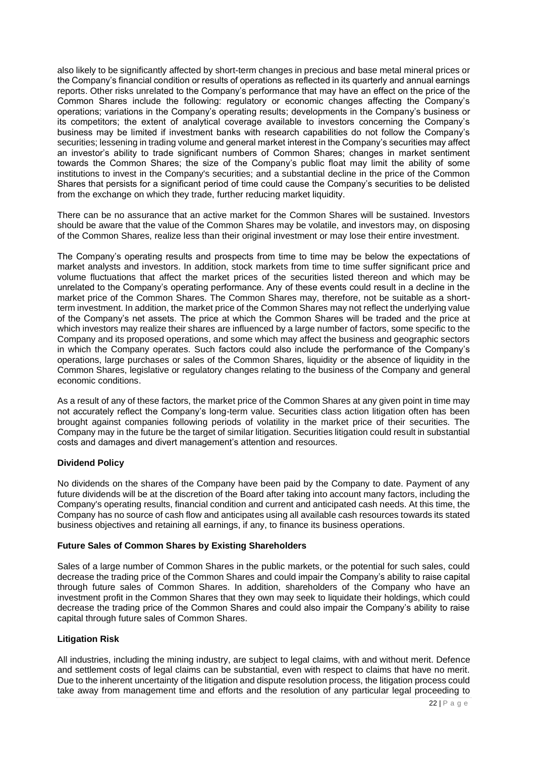also likely to be significantly affected by short-term changes in precious and base metal mineral prices or the Company's financial condition or results of operations as reflected in its quarterly and annual earnings reports. Other risks unrelated to the Company's performance that may have an effect on the price of the Common Shares include the following: regulatory or economic changes affecting the Company's operations; variations in the Company's operating results; developments in the Company's business or its competitors; the extent of analytical coverage available to investors concerning the Company's business may be limited if investment banks with research capabilities do not follow the Company's securities; lessening in trading volume and general market interest in the Company's securities may affect an investor's ability to trade significant numbers of Common Shares; changes in market sentiment towards the Common Shares; the size of the Company's public float may limit the ability of some institutions to invest in the Company's securities; and a substantial decline in the price of the Common Shares that persists for a significant period of time could cause the Company's securities to be delisted from the exchange on which they trade, further reducing market liquidity.

There can be no assurance that an active market for the Common Shares will be sustained. Investors should be aware that the value of the Common Shares may be volatile, and investors may, on disposing of the Common Shares, realize less than their original investment or may lose their entire investment.

The Company's operating results and prospects from time to time may be below the expectations of market analysts and investors. In addition, stock markets from time to time suffer significant price and volume fluctuations that affect the market prices of the securities listed thereon and which may be unrelated to the Company's operating performance. Any of these events could result in a decline in the market price of the Common Shares. The Common Shares may, therefore, not be suitable as a shortterm investment. In addition, the market price of the Common Shares may not reflect the underlying value of the Company's net assets. The price at which the Common Shares will be traded and the price at which investors may realize their shares are influenced by a large number of factors, some specific to the Company and its proposed operations, and some which may affect the business and geographic sectors in which the Company operates. Such factors could also include the performance of the Company's operations, large purchases or sales of the Common Shares, liquidity or the absence of liquidity in the Common Shares, legislative or regulatory changes relating to the business of the Company and general economic conditions.

As a result of any of these factors, the market price of the Common Shares at any given point in time may not accurately reflect the Company's long-term value. Securities class action litigation often has been brought against companies following periods of volatility in the market price of their securities. The Company may in the future be the target of similar litigation. Securities litigation could result in substantial costs and damages and divert management's attention and resources.

# **Dividend Policy**

No dividends on the shares of the Company have been paid by the Company to date. Payment of any future dividends will be at the discretion of the Board after taking into account many factors, including the Company's operating results, financial condition and current and anticipated cash needs. At this time, the Company has no source of cash flow and anticipates using all available cash resources towards its stated business objectives and retaining all earnings, if any, to finance its business operations.

# **Future Sales of Common Shares by Existing Shareholders**

Sales of a large number of Common Shares in the public markets, or the potential for such sales, could decrease the trading price of the Common Shares and could impair the Company's ability to raise capital through future sales of Common Shares. In addition, shareholders of the Company who have an investment profit in the Common Shares that they own may seek to liquidate their holdings, which could decrease the trading price of the Common Shares and could also impair the Company's ability to raise capital through future sales of Common Shares.

#### **Litigation Risk**

All industries, including the mining industry, are subject to legal claims, with and without merit. Defence and settlement costs of legal claims can be substantial, even with respect to claims that have no merit. Due to the inherent uncertainty of the litigation and dispute resolution process, the litigation process could take away from management time and efforts and the resolution of any particular legal proceeding to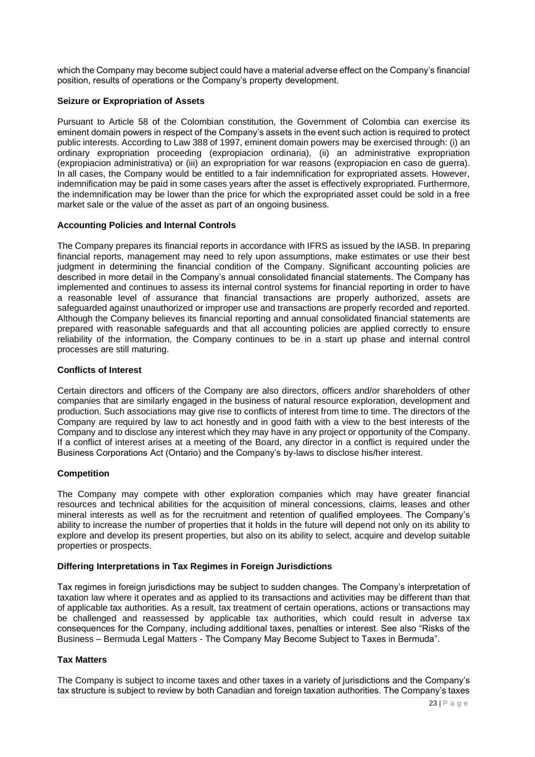which the Company may become subject could have a material adverse effect on the Company's financial position, results of operations or the Company's property development.

# **Seizure or Expropriation of Assets**

Pursuant to Article 58 of the Colombian constitution, the Government of Colombia can exercise its eminent domain powers in respect of the Company's assets in the event such action is required to protect public interests. According to Law 388 of 1997, eminent domain powers may be exercised through: (i) an ordinary expropriation proceeding (expropiacion ordinaria), (ii) an administrative expropriation (expropiacion administrativa) or (iii) an expropriation for war reasons (expropiacion en caso de guerra). In all cases, the Company would be entitled to a fair indemnification for expropriated assets. However, indemnification may be paid in some cases years after the asset is effectively expropriated. Furthermore, the indemnification may be lower than the price for which the expropriated asset could be sold in a free market sale or the value of the asset as part of an ongoing business.

# **Accounting Policies and Internal Controls**

The Company prepares its financial reports in accordance with IFRS as issued by the IASB. In preparing financial reports, management may need to rely upon assumptions, make estimates or use their best judgment in determining the financial condition of the Company. Significant accounting policies are described in more detail in the Company's annual consolidated financial statements. The Company has implemented and continues to assess its internal control systems for financial reporting in order to have a reasonable level of assurance that financial transactions are properly authorized, assets are safeguarded against unauthorized or improper use and transactions are properly recorded and reported. Although the Company believes its financial reporting and annual consolidated financial statements are prepared with reasonable safeguards and that all accounting policies are applied correctly to ensure reliability of the information, the Company continues to be in a start up phase and internal control processes are still maturing.

#### **Conflicts of Interest**

Certain directors and officers of the Company are also directors, officers and/or shareholders of other companies that are similarly engaged in the business of natural resource exploration, development and production. Such associations may give rise to conflicts of interest from time to time. The directors of the Company are required by law to act honestly and in good faith with a view to the best interests of the Company and to disclose any interest which they may have in any project or opportunity of the Company. If a conflict of interest arises at a meeting of the Board, any director in a conflict is required under the Business Corporations Act (Ontario) and the Company's by-laws to disclose his/her interest.

#### **Competition**

The Company may compete with other exploration companies which may have greater financial resources and technical abilities for the acquisition of mineral concessions, claims, leases and other mineral interests as well as for the recruitment and retention of qualified employees. The Company's ability to increase the number of properties that it holds in the future will depend not only on its ability to explore and develop its present properties, but also on its ability to select, acquire and develop suitable properties or prospects.

# **Differing Interpretations in Tax Regimes in Foreign Jurisdictions**

Tax regimes in foreign jurisdictions may be subject to sudden changes. The Company's interpretation of taxation law where it operates and as applied to its transactions and activities may be different than that of applicable tax authorities. As a result, tax treatment of certain operations, actions or transactions may be challenged and reassessed by applicable tax authorities, which could result in adverse tax consequences for the Company, including additional taxes, penalties or interest. See also "Risks of the Business – Bermuda Legal Matters - The Company May Become Subject to Taxes in Bermuda".

#### **Tax Matters**

The Company is subject to income taxes and other taxes in a variety of jurisdictions and the Company's tax structure is subject to review by both Canadian and foreign taxation authorities. The Company's taxes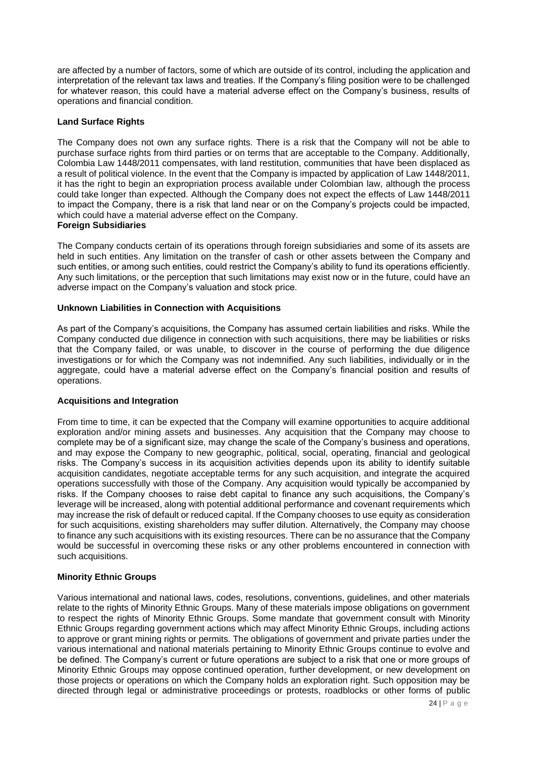are affected by a number of factors, some of which are outside of its control, including the application and interpretation of the relevant tax laws and treaties. If the Company's filing position were to be challenged for whatever reason, this could have a material adverse effect on the Company's business, results of operations and financial condition.

# **Land Surface Rights**

The Company does not own any surface rights. There is a risk that the Company will not be able to purchase surface rights from third parties or on terms that are acceptable to the Company. Additionally, Colombia Law 1448/2011 compensates, with land restitution, communities that have been displaced as a result of political violence. In the event that the Company is impacted by application of Law 1448/2011, it has the right to begin an expropriation process available under Colombian law, although the process could take longer than expected. Although the Company does not expect the effects of Law 1448/2011 to impact the Company, there is a risk that land near or on the Company's projects could be impacted, which could have a material adverse effect on the Company.

#### **Foreign Subsidiaries**

The Company conducts certain of its operations through foreign subsidiaries and some of its assets are held in such entities. Any limitation on the transfer of cash or other assets between the Company and such entities, or among such entities, could restrict the Company's ability to fund its operations efficiently. Any such limitations, or the perception that such limitations may exist now or in the future, could have an adverse impact on the Company's valuation and stock price.

#### **Unknown Liabilities in Connection with Acquisitions**

As part of the Company's acquisitions, the Company has assumed certain liabilities and risks. While the Company conducted due diligence in connection with such acquisitions, there may be liabilities or risks that the Company failed, or was unable, to discover in the course of performing the due diligence investigations or for which the Company was not indemnified. Any such liabilities, individually or in the aggregate, could have a material adverse effect on the Company's financial position and results of operations.

#### **Acquisitions and Integration**

From time to time, it can be expected that the Company will examine opportunities to acquire additional exploration and/or mining assets and businesses. Any acquisition that the Company may choose to complete may be of a significant size, may change the scale of the Company's business and operations, and may expose the Company to new geographic, political, social, operating, financial and geological risks. The Company's success in its acquisition activities depends upon its ability to identify suitable acquisition candidates, negotiate acceptable terms for any such acquisition, and integrate the acquired operations successfully with those of the Company. Any acquisition would typically be accompanied by risks. If the Company chooses to raise debt capital to finance any such acquisitions, the Company's leverage will be increased, along with potential additional performance and covenant requirements which may increase the risk of default or reduced capital. If the Company chooses to use equity as consideration for such acquisitions, existing shareholders may suffer dilution. Alternatively, the Company may choose to finance any such acquisitions with its existing resources. There can be no assurance that the Company would be successful in overcoming these risks or any other problems encountered in connection with such acquisitions.

#### **Minority Ethnic Groups**

Various international and national laws, codes, resolutions, conventions, guidelines, and other materials relate to the rights of Minority Ethnic Groups. Many of these materials impose obligations on government to respect the rights of Minority Ethnic Groups. Some mandate that government consult with Minority Ethnic Groups regarding government actions which may affect Minority Ethnic Groups, including actions to approve or grant mining rights or permits. The obligations of government and private parties under the various international and national materials pertaining to Minority Ethnic Groups continue to evolve and be defined. The Company's current or future operations are subject to a risk that one or more groups of Minority Ethnic Groups may oppose continued operation, further development, or new development on those projects or operations on which the Company holds an exploration right. Such opposition may be directed through legal or administrative proceedings or protests, roadblocks or other forms of public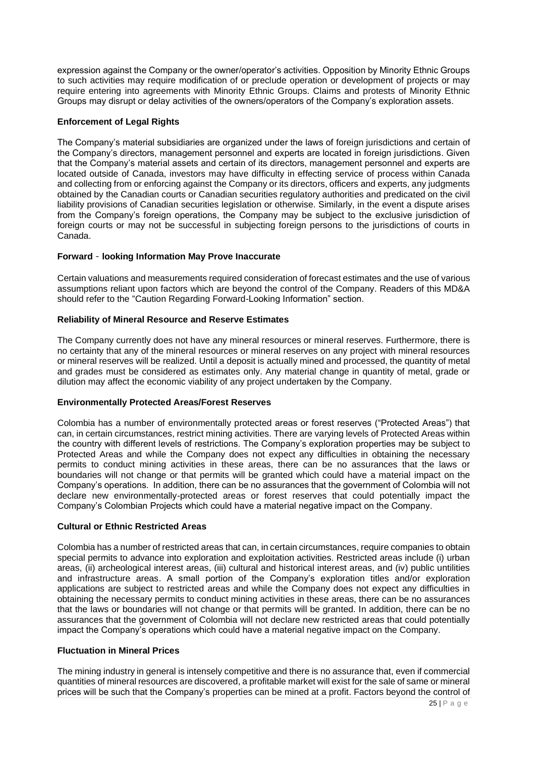expression against the Company or the owner/operator's activities. Opposition by Minority Ethnic Groups to such activities may require modification of or preclude operation or development of projects or may require entering into agreements with Minority Ethnic Groups. Claims and protests of Minority Ethnic Groups may disrupt or delay activities of the owners/operators of the Company's exploration assets.

# **Enforcement of Legal Rights**

The Company's material subsidiaries are organized under the laws of foreign jurisdictions and certain of the Company's directors, management personnel and experts are located in foreign jurisdictions. Given that the Company's material assets and certain of its directors, management personnel and experts are located outside of Canada, investors may have difficulty in effecting service of process within Canada and collecting from or enforcing against the Company or its directors, officers and experts, any judgments obtained by the Canadian courts or Canadian securities regulatory authorities and predicated on the civil liability provisions of Canadian securities legislation or otherwise. Similarly, in the event a dispute arises from the Company's foreign operations, the Company may be subject to the exclusive jurisdiction of foreign courts or may not be successful in subjecting foreign persons to the jurisdictions of courts in Canada.

#### **Forward**‐**looking Information May Prove Inaccurate**

Certain valuations and measurements required consideration of forecast estimates and the use of various assumptions reliant upon factors which are beyond the control of the Company. Readers of this MD&A should refer to the "Caution Regarding Forward-Looking Information" section.

#### **Reliability of Mineral Resource and Reserve Estimates**

The Company currently does not have any mineral resources or mineral reserves. Furthermore, there is no certainty that any of the mineral resources or mineral reserves on any project with mineral resources or mineral reserves will be realized. Until a deposit is actually mined and processed, the quantity of metal and grades must be considered as estimates only. Any material change in quantity of metal, grade or dilution may affect the economic viability of any project undertaken by the Company.

#### **Environmentally Protected Areas/Forest Reserves**

Colombia has a number of environmentally protected areas or forest reserves ("Protected Areas") that can, in certain circumstances, restrict mining activities. There are varying levels of Protected Areas within the country with different levels of restrictions. The Company's exploration properties may be subject to Protected Areas and while the Company does not expect any difficulties in obtaining the necessary permits to conduct mining activities in these areas, there can be no assurances that the laws or boundaries will not change or that permits will be granted which could have a material impact on the Company's operations. In addition, there can be no assurances that the government of Colombia will not declare new environmentally-protected areas or forest reserves that could potentially impact the Company's Colombian Projects which could have a material negative impact on the Company.

# **Cultural or Ethnic Restricted Areas**

Colombia has a number of restricted areas that can, in certain circumstances, require companies to obtain special permits to advance into exploration and exploitation activities. Restricted areas include (i) urban areas, (ii) archeological interest areas, (iii) cultural and historical interest areas, and (iv) public untilities and infrastructure areas. A small portion of the Company's exploration titles and/or exploration applications are subject to restricted areas and while the Company does not expect any difficulties in obtaining the necessary permits to conduct mining activities in these areas, there can be no assurances that the laws or boundaries will not change or that permits will be granted. In addition, there can be no assurances that the government of Colombia will not declare new restricted areas that could potentially impact the Company's operations which could have a material negative impact on the Company.

#### **Fluctuation in Mineral Prices**

The mining industry in general is intensely competitive and there is no assurance that, even if commercial quantities of mineral resources are discovered, a profitable market will exist for the sale of same or mineral prices will be such that the Company's properties can be mined at a profit. Factors beyond the control of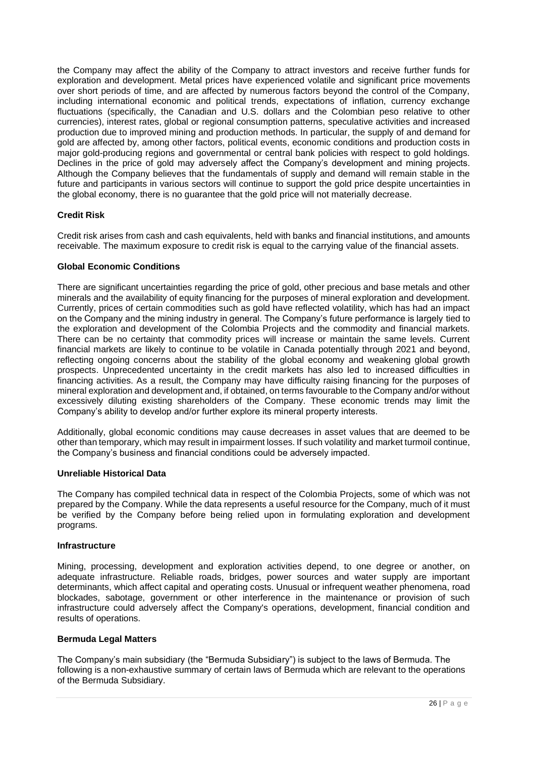the Company may affect the ability of the Company to attract investors and receive further funds for exploration and development. Metal prices have experienced volatile and significant price movements over short periods of time, and are affected by numerous factors beyond the control of the Company, including international economic and political trends, expectations of inflation, currency exchange fluctuations (specifically, the Canadian and U.S. dollars and the Colombian peso relative to other currencies), interest rates, global or regional consumption patterns, speculative activities and increased production due to improved mining and production methods. In particular, the supply of and demand for gold are affected by, among other factors, political events, economic conditions and production costs in major gold-producing regions and governmental or central bank policies with respect to gold holdings. Declines in the price of gold may adversely affect the Company's development and mining projects. Although the Company believes that the fundamentals of supply and demand will remain stable in the future and participants in various sectors will continue to support the gold price despite uncertainties in the global economy, there is no guarantee that the gold price will not materially decrease.

# **Credit Risk**

Credit risk arises from cash and cash equivalents, held with banks and financial institutions, and amounts receivable. The maximum exposure to credit risk is equal to the carrying value of the financial assets.

# **Global Economic Conditions**

There are significant uncertainties regarding the price of gold, other precious and base metals and other minerals and the availability of equity financing for the purposes of mineral exploration and development. Currently, prices of certain commodities such as gold have reflected volatility, which has had an impact on the Company and the mining industry in general. The Company's future performance is largely tied to the exploration and development of the Colombia Projects and the commodity and financial markets. There can be no certainty that commodity prices will increase or maintain the same levels. Current financial markets are likely to continue to be volatile in Canada potentially through 2021 and beyond, reflecting ongoing concerns about the stability of the global economy and weakening global growth prospects. Unprecedented uncertainty in the credit markets has also led to increased difficulties in financing activities. As a result, the Company may have difficulty raising financing for the purposes of mineral exploration and development and, if obtained, on terms favourable to the Company and/or without excessively diluting existing shareholders of the Company. These economic trends may limit the Company's ability to develop and/or further explore its mineral property interests.

Additionally, global economic conditions may cause decreases in asset values that are deemed to be other than temporary, which may result in impairment losses. If such volatility and market turmoil continue, the Company's business and financial conditions could be adversely impacted.

#### **Unreliable Historical Data**

The Company has compiled technical data in respect of the Colombia Projects, some of which was not prepared by the Company. While the data represents a useful resource for the Company, much of it must be verified by the Company before being relied upon in formulating exploration and development programs.

# **Infrastructure**

Mining, processing, development and exploration activities depend, to one degree or another, on adequate infrastructure. Reliable roads, bridges, power sources and water supply are important determinants, which affect capital and operating costs. Unusual or infrequent weather phenomena, road blockades, sabotage, government or other interference in the maintenance or provision of such infrastructure could adversely affect the Company's operations, development, financial condition and results of operations.

#### **Bermuda Legal Matters**

The Company's main subsidiary (the "Bermuda Subsidiary") is subject to the laws of Bermuda. The following is a non-exhaustive summary of certain laws of Bermuda which are relevant to the operations of the Bermuda Subsidiary.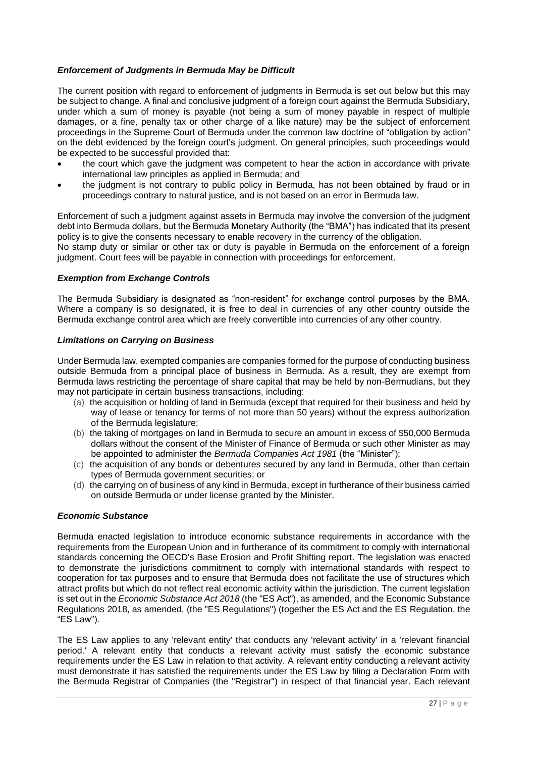# *Enforcement of Judgments in Bermuda May be Difficult*

The current position with regard to enforcement of judgments in Bermuda is set out below but this may be subject to change. A final and conclusive judgment of a foreign court against the Bermuda Subsidiary, under which a sum of money is payable (not being a sum of money payable in respect of multiple damages, or a fine, penalty tax or other charge of a like nature) may be the subject of enforcement proceedings in the Supreme Court of Bermuda under the common law doctrine of "obligation by action" on the debt evidenced by the foreign court's judgment. On general principles, such proceedings would be expected to be successful provided that:

- the court which gave the judgment was competent to hear the action in accordance with private international law principles as applied in Bermuda; and
- the judgment is not contrary to public policy in Bermuda, has not been obtained by fraud or in proceedings contrary to natural justice, and is not based on an error in Bermuda law.

Enforcement of such a judgment against assets in Bermuda may involve the conversion of the judgment debt into Bermuda dollars, but the Bermuda Monetary Authority (the "BMA") has indicated that its present policy is to give the consents necessary to enable recovery in the currency of the obligation. No stamp duty or similar or other tax or duty is payable in Bermuda on the enforcement of a foreign

judgment. Court fees will be payable in connection with proceedings for enforcement.

# *Exemption from Exchange Controls*

The Bermuda Subsidiary is designated as "non-resident" for exchange control purposes by the BMA. Where a company is so designated, it is free to deal in currencies of any other country outside the Bermuda exchange control area which are freely convertible into currencies of any other country.

#### *Limitations on Carrying on Business*

Under Bermuda law, exempted companies are companies formed for the purpose of conducting business outside Bermuda from a principal place of business in Bermuda. As a result, they are exempt from Bermuda laws restricting the percentage of share capital that may be held by non-Bermudians, but they may not participate in certain business transactions, including:

- (a) the acquisition or holding of land in Bermuda (except that required for their business and held by way of lease or tenancy for terms of not more than 50 years) without the express authorization of the Bermuda legislature;
- (b) the taking of mortgages on land in Bermuda to secure an amount in excess of \$50,000 Bermuda dollars without the consent of the Minister of Finance of Bermuda or such other Minister as may be appointed to administer the *Bermuda Companies Act 1981* (the "Minister");
- (c) the acquisition of any bonds or debentures secured by any land in Bermuda, other than certain types of Bermuda government securities; or
- (d) the carrying on of business of any kind in Bermuda, except in furtherance of their business carried on outside Bermuda or under license granted by the Minister.

#### *Economic Substance*

Bermuda enacted legislation to introduce economic substance requirements in accordance with the requirements from the European Union and in furtherance of its commitment to comply with international standards concerning the OECD's Base Erosion and Profit Shifting report. The legislation was enacted to demonstrate the jurisdictions commitment to comply with international standards with respect to cooperation for tax purposes and to ensure that Bermuda does not facilitate the use of structures which attract profits but which do not reflect real economic activity within the jurisdiction. The current legislation is set out in the *Economic Substance Act 2018* (the "ES Act"), as amended, and the Economic Substance Regulations 2018, as amended, (the "ES Regulations") (together the ES Act and the ES Regulation, the "ES Law").

The ES Law applies to any 'relevant entity' that conducts any 'relevant activity' in a 'relevant financial period.' A relevant entity that conducts a relevant activity must satisfy the economic substance requirements under the ES Law in relation to that activity. A relevant entity conducting a relevant activity must demonstrate it has satisfied the requirements under the ES Law by filing a Declaration Form with the Bermuda Registrar of Companies (the "Registrar") in respect of that financial year. Each relevant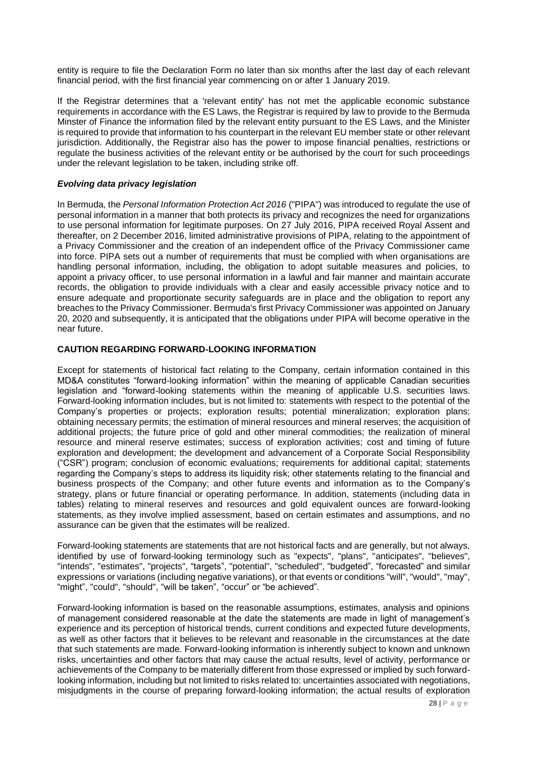entity is require to file the Declaration Form no later than six months after the last day of each relevant financial period, with the first financial year commencing on or after 1 January 2019.

If the Registrar determines that a 'relevant entity' has not met the applicable economic substance requirements in accordance with the ES Laws, the Registrar is required by law to provide to the Bermuda Minster of Finance the information filed by the relevant entity pursuant to the ES Laws, and the Minister is required to provide that information to his counterpart in the relevant EU member state or other relevant jurisdiction. Additionally, the Registrar also has the power to impose financial penalties, restrictions or regulate the business activities of the relevant entity or be authorised by the court for such proceedings under the relevant legislation to be taken, including strike off.

# *Evolving data privacy legislation*

In Bermuda, the *Personal Information Protection Act 2016* ("PIPA") was introduced to regulate the use of personal information in a manner that both protects its privacy and recognizes the need for organizations to use personal information for legitimate purposes. On 27 July 2016, PIPA received Royal Assent and thereafter, on 2 December 2016, limited administrative provisions of PIPA, relating to the appointment of a Privacy Commissioner and the creation of an independent office of the Privacy Commissioner came into force. PIPA sets out a number of requirements that must be complied with when organisations are handling personal information, including, the obligation to adopt suitable measures and policies, to appoint a privacy officer, to use personal information in a lawful and fair manner and maintain accurate records, the obligation to provide individuals with a clear and easily accessible privacy notice and to ensure adequate and proportionate security safeguards are in place and the obligation to report any breaches to the Privacy Commissioner. Bermuda's first Privacy Commissioner was appointed on January 20, 2020 and subsequently, it is anticipated that the obligations under PIPA will become operative in the near future.

### <span id="page-27-0"></span>**CAUTION REGARDING FORWARD-LOOKING INFORMATION**

Except for statements of historical fact relating to the Company, certain information contained in this MD&A constitutes "forward-looking information" within the meaning of applicable Canadian securities legislation and "forward-looking statements within the meaning of applicable U.S. securities laws. Forward-looking information includes, but is not limited to: statements with respect to the potential of the Company's properties or projects; exploration results; potential mineralization; exploration plans; obtaining necessary permits; the estimation of mineral resources and mineral reserves; the acquisition of additional projects; the future price of gold and other mineral commodities; the realization of mineral resource and mineral reserve estimates; success of exploration activities; cost and timing of future exploration and development; the development and advancement of a Corporate Social Responsibility ("CSR") program; conclusion of economic evaluations; requirements for additional capital; statements regarding the Company's steps to address its liquidity risk; other statements relating to the financial and business prospects of the Company; and other future events and information as to the Company's strategy, plans or future financial or operating performance. In addition, statements (including data in tables) relating to mineral reserves and resources and gold equivalent ounces are forward-looking statements, as they involve implied assessment, based on certain estimates and assumptions, and no assurance can be given that the estimates will be realized.

Forward-looking statements are statements that are not historical facts and are generally, but not always, identified by use of forward-looking terminology such as "expects", "plans", "anticipates", "believes", "intends", "estimates", "projects", "targets", "potential", "scheduled", "budgeted", "forecasted" and similar expressions or variations (including negative variations), or that events or conditions "will", "would", "may", "might", "could", "should", "will be taken", "occur" or "be achieved".

Forward-looking information is based on the reasonable assumptions, estimates, analysis and opinions of management considered reasonable at the date the statements are made in light of management's experience and its perception of historical trends, current conditions and expected future developments, as well as other factors that it believes to be relevant and reasonable in the circumstances at the date that such statements are made. Forward-looking information is inherently subject to known and unknown risks, uncertainties and other factors that may cause the actual results, level of activity, performance or achievements of the Company to be materially different from those expressed or implied by such forwardlooking information, including but not limited to risks related to: uncertainties associated with negotiations, misjudgments in the course of preparing forward-looking information; the actual results of exploration